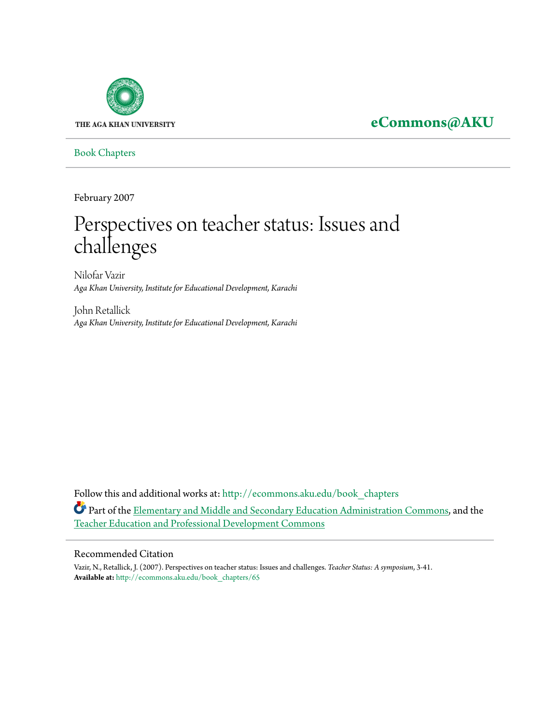

**[eCommons@AKU](http://ecommons.aku.edu?utm_source=ecommons.aku.edu%2Fbook_chapters%2F65&utm_medium=PDF&utm_campaign=PDFCoverPages)**

[Book Chapters](http://ecommons.aku.edu/book_chapters?utm_source=ecommons.aku.edu%2Fbook_chapters%2F65&utm_medium=PDF&utm_campaign=PDFCoverPages)

February 2007

# Perspectives on teacher status: Issues and challenges

Nilofar Vazir *Aga Khan University, Institute for Educational Development, Karachi*

John Retallick *Aga Khan University, Institute for Educational Development, Karachi*

Follow this and additional works at: [http://ecommons.aku.edu/book\\_chapters](http://ecommons.aku.edu/book_chapters?utm_source=ecommons.aku.edu%2Fbook_chapters%2F65&utm_medium=PDF&utm_campaign=PDFCoverPages) Part of the [Elementary and Middle and Secondary Education Administration Commons,](http://network.bepress.com/hgg/discipline/790?utm_source=ecommons.aku.edu%2Fbook_chapters%2F65&utm_medium=PDF&utm_campaign=PDFCoverPages) and the [Teacher Education and Professional Development Commons](http://network.bepress.com/hgg/discipline/803?utm_source=ecommons.aku.edu%2Fbook_chapters%2F65&utm_medium=PDF&utm_campaign=PDFCoverPages)

#### Recommended Citation

Vazir, N., Retallick, J. (2007). Perspectives on teacher status: Issues and challenges. *Teacher Status: A symposium*, 3-41. **Available at:** [http://ecommons.aku.edu/book\\_chapters/65](http://ecommons.aku.edu/book_chapters/65)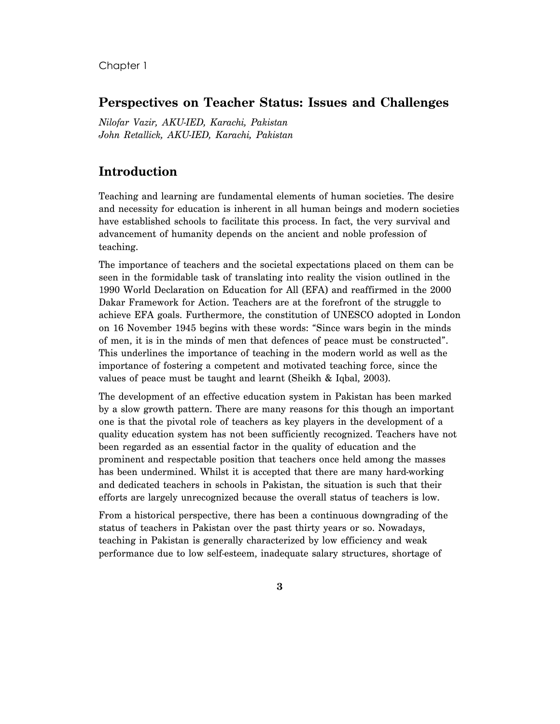#### Chapter 1

### **Perspectives on Teacher Status: Issues and Challenges**

*Nilofar Vazir, AKU-IED, Karachi, Pakistan John Retallick, AKU-IED, Karachi, Pakistan* 

# **Introduction**

Teaching and learning are fundamental elements of human societies. The desire and necessity for education is inherent in all human beings and modern societies have established schools to facilitate this process. In fact, the very survival and advancement of humanity depends on the ancient and noble profession of teaching.

The importance of teachers and the societal expectations placed on them can be seen in the formidable task of translating into reality the vision outlined in the 1990 World Declaration on Education for All (EFA) and reaffirmed in the 2000 Dakar Framework for Action. Teachers are at the forefront of the struggle to achieve EFA goals. Furthermore, the constitution of UNESCO adopted in London on 16 November 1945 begins with these words: "Since wars begin in the minds of men, it is in the minds of men that defences of peace must be constructed". This underlines the importance of teaching in the modern world as well as the importance of fostering a competent and motivated teaching force, since the values of peace must be taught and learnt (Sheikh & Iqbal, 2003).

The development of an effective education system in Pakistan has been marked by a slow growth pattern. There are many reasons for this though an important one is that the pivotal role of teachers as key players in the development of a quality education system has not been sufficiently recognized. Teachers have not been regarded as an essential factor in the quality of education and the prominent and respectable position that teachers once held among the masses has been undermined. Whilst it is accepted that there are many hard-working and dedicated teachers in schools in Pakistan, the situation is such that their efforts are largely unrecognized because the overall status of teachers is low.

From a historical perspective, there has been a continuous downgrading of the status of teachers in Pakistan over the past thirty years or so. Nowadays, teaching in Pakistan is generally characterized by low efficiency and weak performance due to low self-esteem, inadequate salary structures, shortage of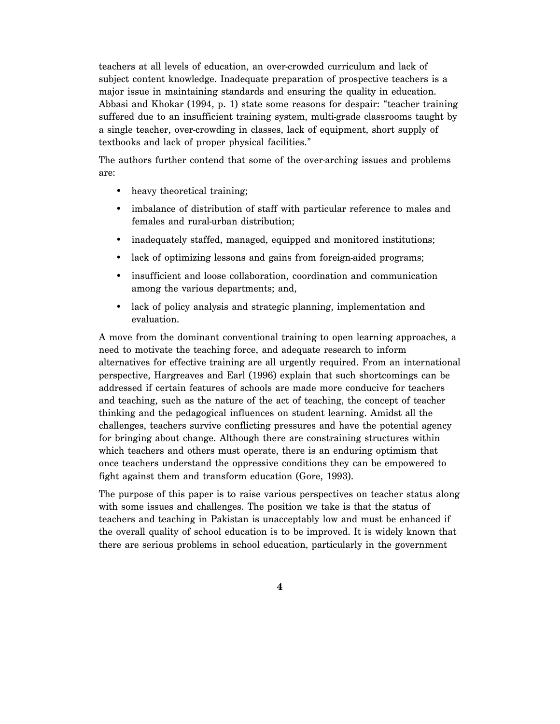teachers at all levels of education, an over-crowded curriculum and lack of subject content knowledge. Inadequate preparation of prospective teachers is a major issue in maintaining standards and ensuring the quality in education. Abbasi and Khokar (1994, p. 1) state some reasons for despair: "teacher training suffered due to an insufficient training system, multi-grade classrooms taught by a single teacher, over-crowding in classes, lack of equipment, short supply of textbooks and lack of proper physical facilities."

The authors further contend that some of the over-arching issues and problems are:

- heavy theoretical training;
- imbalance of distribution of staff with particular reference to males and females and rural-urban distribution;
- inadequately staffed, managed, equipped and monitored institutions;
- lack of optimizing lessons and gains from foreign-aided programs;
- insufficient and loose collaboration, coordination and communication among the various departments; and,
- lack of policy analysis and strategic planning, implementation and evaluation.

A move from the dominant conventional training to open learning approaches, a need to motivate the teaching force, and adequate research to inform alternatives for effective training are all urgently required. From an international perspective, Hargreaves and Earl (1996) explain that such shortcomings can be addressed if certain features of schools are made more conducive for teachers and teaching, such as the nature of the act of teaching, the concept of teacher thinking and the pedagogical influences on student learning. Amidst all the challenges, teachers survive conflicting pressures and have the potential agency for bringing about change. Although there are constraining structures within which teachers and others must operate, there is an enduring optimism that once teachers understand the oppressive conditions they can be empowered to fight against them and transform education (Gore, 1993).

The purpose of this paper is to raise various perspectives on teacher status along with some issues and challenges. The position we take is that the status of teachers and teaching in Pakistan is unacceptably low and must be enhanced if the overall quality of school education is to be improved. It is widely known that there are serious problems in school education, particularly in the government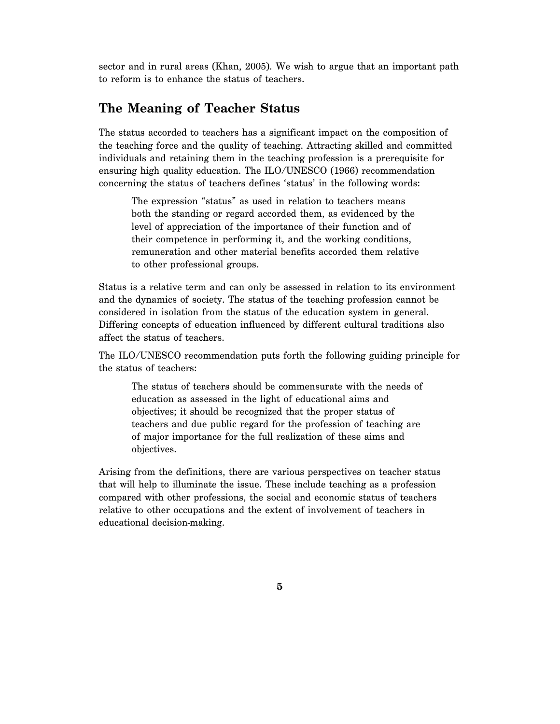sector and in rural areas (Khan, 2005). We wish to argue that an important path to reform is to enhance the status of teachers.

## **The Meaning of Teacher Status**

The status accorded to teachers has a significant impact on the composition of the teaching force and the quality of teaching. Attracting skilled and committed individuals and retaining them in the teaching profession is a prerequisite for ensuring high quality education. The ILO/UNESCO (1966) recommendation concerning the status of teachers defines 'status' in the following words:

The expression "status" as used in relation to teachers means both the standing or regard accorded them, as evidenced by the level of appreciation of the importance of their function and of their competence in performing it, and the working conditions, remuneration and other material benefits accorded them relative to other professional groups.

Status is a relative term and can only be assessed in relation to its environment and the dynamics of society. The status of the teaching profession cannot be considered in isolation from the status of the education system in general. Differing concepts of education influenced by different cultural traditions also affect the status of teachers.

The ILO/UNESCO recommendation puts forth the following guiding principle for the status of teachers:

The status of teachers should be commensurate with the needs of education as assessed in the light of educational aims and objectives; it should be recognized that the proper status of teachers and due public regard for the profession of teaching are of major importance for the full realization of these aims and objectives.

Arising from the definitions, there are various perspectives on teacher status that will help to illuminate the issue. These include teaching as a profession compared with other professions, the social and economic status of teachers relative to other occupations and the extent of involvement of teachers in educational decision-making.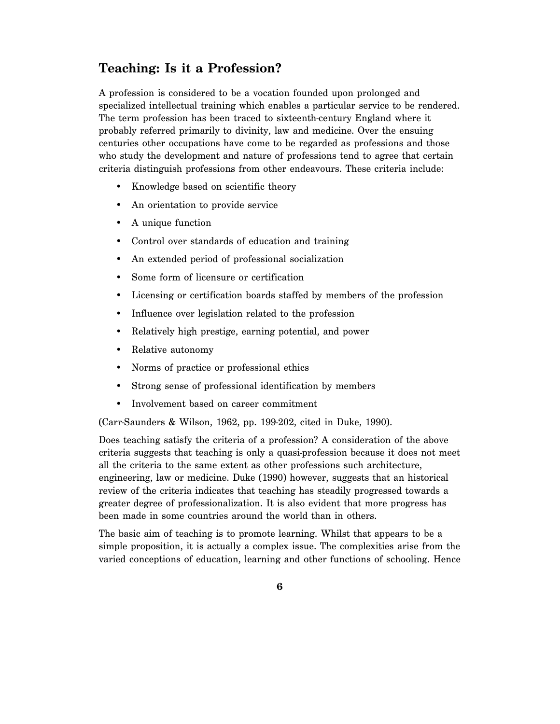# **Teaching: Is it a Profession?**

A profession is considered to be a vocation founded upon prolonged and specialized intellectual training which enables a particular service to be rendered. The term profession has been traced to sixteenth-century England where it probably referred primarily to divinity, law and medicine. Over the ensuing centuries other occupations have come to be regarded as professions and those who study the development and nature of professions tend to agree that certain criteria distinguish professions from other endeavours. These criteria include:

- Knowledge based on scientific theory
- An orientation to provide service
- A unique function
- Control over standards of education and training
- An extended period of professional socialization
- Some form of licensure or certification
- Licensing or certification boards staffed by members of the profession
- Influence over legislation related to the profession
- Relatively high prestige, earning potential, and power
- Relative autonomy
- Norms of practice or professional ethics
- Strong sense of professional identification by members
- Involvement based on career commitment

(Carr-Saunders & Wilson, 1962, pp. 199-202, cited in Duke, 1990).

Does teaching satisfy the criteria of a profession? A consideration of the above criteria suggests that teaching is only a quasi-profession because it does not meet all the criteria to the same extent as other professions such architecture, engineering, law or medicine. Duke (1990) however, suggests that an historical review of the criteria indicates that teaching has steadily progressed towards a greater degree of professionalization. It is also evident that more progress has been made in some countries around the world than in others.

The basic aim of teaching is to promote learning. Whilst that appears to be a simple proposition, it is actually a complex issue. The complexities arise from the varied conceptions of education, learning and other functions of schooling. Hence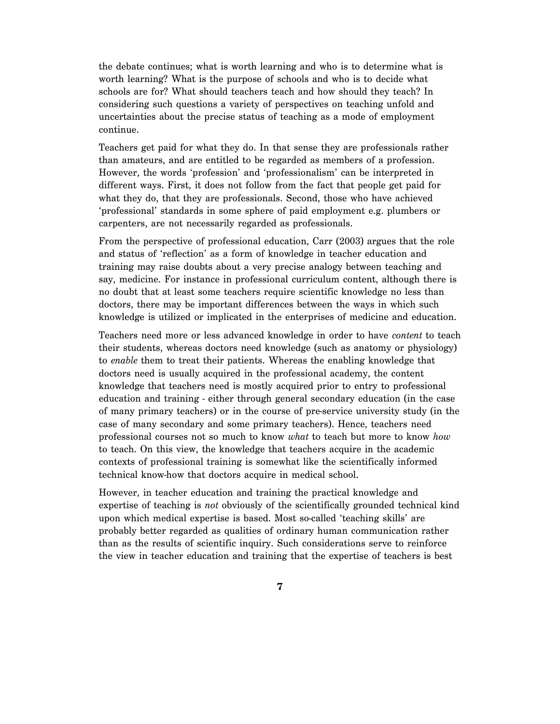the debate continues; what is worth learning and who is to determine what is worth learning? What is the purpose of schools and who is to decide what schools are for? What should teachers teach and how should they teach? In considering such questions a variety of perspectives on teaching unfold and uncertainties about the precise status of teaching as a mode of employment continue.

Teachers get paid for what they do. In that sense they are professionals rather than amateurs, and are entitled to be regarded as members of a profession. However, the words 'profession' and 'professionalism' can be interpreted in different ways. First, it does not follow from the fact that people get paid for what they do, that they are professionals. Second, those who have achieved 'professional' standards in some sphere of paid employment e.g. plumbers or carpenters, are not necessarily regarded as professionals.

From the perspective of professional education, Carr (2003) argues that the role and status of 'reflection' as a form of knowledge in teacher education and training may raise doubts about a very precise analogy between teaching and say, medicine. For instance in professional curriculum content, although there is no doubt that at least some teachers require scientific knowledge no less than doctors, there may be important differences between the ways in which such knowledge is utilized or implicated in the enterprises of medicine and education.

Teachers need more or less advanced knowledge in order to have *content* to teach their students, whereas doctors need knowledge (such as anatomy or physiology) to *enable* them to treat their patients. Whereas the enabling knowledge that doctors need is usually acquired in the professional academy, the content knowledge that teachers need is mostly acquired prior to entry to professional education and training - either through general secondary education (in the case of many primary teachers) or in the course of pre-service university study (in the case of many secondary and some primary teachers). Hence, teachers need professional courses not so much to know *what* to teach but more to know *how* to teach. On this view, the knowledge that teachers acquire in the academic contexts of professional training is somewhat like the scientifically informed technical know-how that doctors acquire in medical school.

However, in teacher education and training the practical knowledge and expertise of teaching is *not* obviously of the scientifically grounded technical kind upon which medical expertise is based. Most so-called 'teaching skills' are probably better regarded as qualities of ordinary human communication rather than as the results of scientific inquiry. Such considerations serve to reinforce the view in teacher education and training that the expertise of teachers is best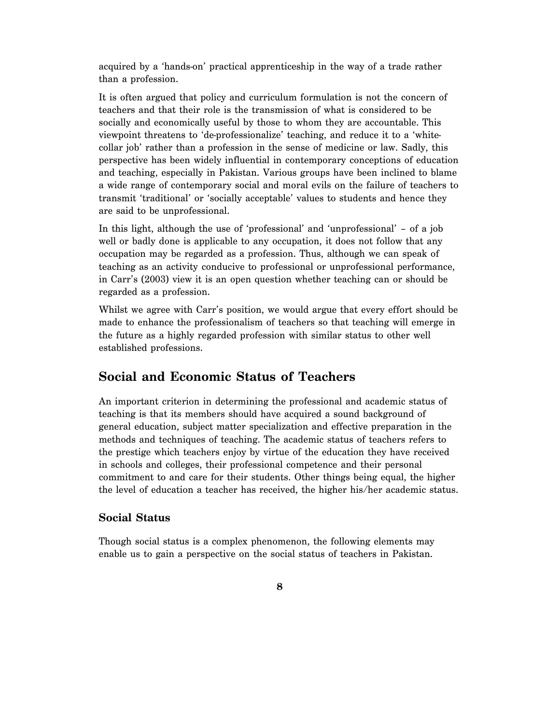acquired by a 'hands-on' practical apprenticeship in the way of a trade rather than a profession.

It is often argued that policy and curriculum formulation is not the concern of teachers and that their role is the transmission of what is considered to be socially and economically useful by those to whom they are accountable. This viewpoint threatens to 'de-professionalize' teaching, and reduce it to a 'whitecollar job' rather than a profession in the sense of medicine or law. Sadly, this perspective has been widely influential in contemporary conceptions of education and teaching, especially in Pakistan. Various groups have been inclined to blame a wide range of contemporary social and moral evils on the failure of teachers to transmit 'traditional' or 'socially acceptable' values to students and hence they are said to be unprofessional.

In this light, although the use of 'professional' and 'unprofessional' – of a job well or badly done is applicable to any occupation, it does not follow that any occupation may be regarded as a profession. Thus, although we can speak of teaching as an activity conducive to professional or unprofessional performance, in Carr's (2003) view it is an open question whether teaching can or should be regarded as a profession.

Whilst we agree with Carr's position, we would argue that every effort should be made to enhance the professionalism of teachers so that teaching will emerge in the future as a highly regarded profession with similar status to other well established professions.

# **Social and Economic Status of Teachers**

An important criterion in determining the professional and academic status of teaching is that its members should have acquired a sound background of general education, subject matter specialization and effective preparation in the methods and techniques of teaching. The academic status of teachers refers to the prestige which teachers enjoy by virtue of the education they have received in schools and colleges, their professional competence and their personal commitment to and care for their students. Other things being equal, the higher the level of education a teacher has received, the higher his/her academic status.

### **Social Status**

Though social status is a complex phenomenon, the following elements may enable us to gain a perspective on the social status of teachers in Pakistan.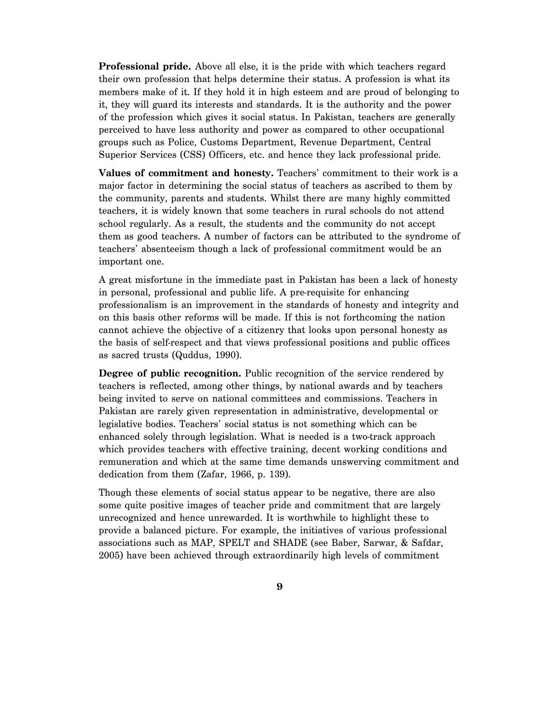**Professional pride.** Above all else, it is the pride with which teachers regard their own profession that helps determine their status. A profession is what its members make of it. If they hold it in high esteem and are proud of belonging to it, they will guard its interests and standards. It is the authority and the power of the profession which gives it social status. In Pakistan, teachers are generally perceived to have less authority and power as compared to other occupational groups such as Police, Customs Department, Revenue Department, Central Superior Services (CSS) Officers, etc. and hence they lack professional pride.

**Values of commitment and honesty.** Teachers' commitment to their work is a major factor in determining the social status of teachers as ascribed to them by the community, parents and students. Whilst there are many highly committed teachers, it is widely known that some teachers in rural schools do not attend school regularly. As a result, the students and the community do not accept them as good teachers. A number of factors can be attributed to the syndrome of teachers' absenteeism though a lack of professional commitment would be an important one.

A great misfortune in the immediate past in Pakistan has been a lack of honesty in personal, professional and public life. A pre-requisite for enhancing professionalism is an improvement in the standards of honesty and integrity and on this basis other reforms will be made. If this is not forthcoming the nation cannot achieve the objective of a citizenry that looks upon personal honesty as the basis of self-respect and that views professional positions and public offices as sacred trusts (Quddus, 1990).

**Degree of public recognition.** Public recognition of the service rendered by teachers is reflected, among other things, by national awards and by teachers being invited to serve on national committees and commissions. Teachers in Pakistan are rarely given representation in administrative, developmental or legislative bodies. Teachers' social status is not something which can be enhanced solely through legislation. What is needed is a two-track approach which provides teachers with effective training, decent working conditions and remuneration and which at the same time demands unswerving commitment and dedication from them (Zafar, 1966, p. 139).

Though these elements of social status appear to be negative, there are also some quite positive images of teacher pride and commitment that are largely unrecognized and hence unrewarded. It is worthwhile to highlight these to provide a balanced picture. For example, the initiatives of various professional associations such as MAP, SPELT and SHADE (see Baber, Sarwar, & Safdar, 2005) have been achieved through extraordinarily high levels of commitment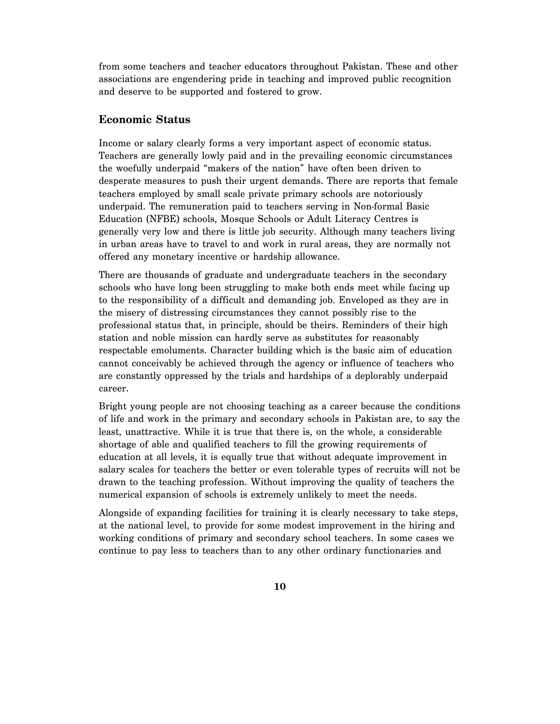from some teachers and teacher educators throughout Pakistan. These and other associations are engendering pride in teaching and improved public recognition and deserve to be supported and fostered to grow.

### **Economic Status**

Income or salary clearly forms a very important aspect of economic status. Teachers are generally lowly paid and in the prevailing economic circumstances the woefully underpaid "makers of the nation" have often been driven to desperate measures to push their urgent demands. There are reports that female teachers employed by small scale private primary schools are notoriously underpaid. The remuneration paid to teachers serving in Non-formal Basic Education (NFBE) schools, Mosque Schools or Adult Literacy Centres is generally very low and there is little job security. Although many teachers living in urban areas have to travel to and work in rural areas, they are normally not offered any monetary incentive or hardship allowance.

There are thousands of graduate and undergraduate teachers in the secondary schools who have long been struggling to make both ends meet while facing up to the responsibility of a difficult and demanding job. Enveloped as they are in the misery of distressing circumstances they cannot possibly rise to the professional status that, in principle, should be theirs. Reminders of their high station and noble mission can hardly serve as substitutes for reasonably respectable emoluments. Character building which is the basic aim of education cannot conceivably be achieved through the agency or influence of teachers who are constantly oppressed by the trials and hardships of a deplorably underpaid career.

Bright young people are not choosing teaching as a career because the conditions of life and work in the primary and secondary schools in Pakistan are, to say the least, unattractive. While it is true that there is, on the whole, a considerable shortage of able and qualified teachers to fill the growing requirements of education at all levels, it is equally true that without adequate improvement in salary scales for teachers the better or even tolerable types of recruits will not be drawn to the teaching profession. Without improving the quality of teachers the numerical expansion of schools is extremely unlikely to meet the needs.

Alongside of expanding facilities for training it is clearly necessary to take steps, at the national level, to provide for some modest improvement in the hiring and working conditions of primary and secondary school teachers. In some cases we continue to pay less to teachers than to any other ordinary functionaries and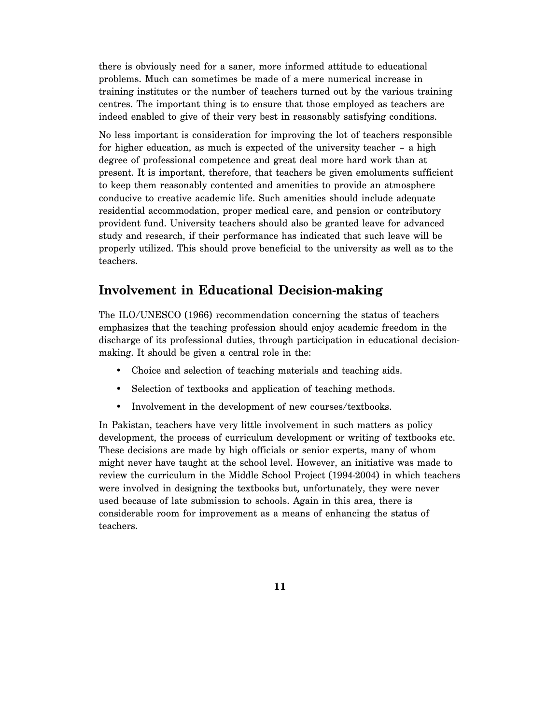there is obviously need for a saner, more informed attitude to educational problems. Much can sometimes be made of a mere numerical increase in training institutes or the number of teachers turned out by the various training centres. The important thing is to ensure that those employed as teachers are indeed enabled to give of their very best in reasonably satisfying conditions.

No less important is consideration for improving the lot of teachers responsible for higher education, as much is expected of the university teacher – a high degree of professional competence and great deal more hard work than at present. It is important, therefore, that teachers be given emoluments sufficient to keep them reasonably contented and amenities to provide an atmosphere conducive to creative academic life. Such amenities should include adequate residential accommodation, proper medical care, and pension or contributory provident fund. University teachers should also be granted leave for advanced study and research, if their performance has indicated that such leave will be properly utilized. This should prove beneficial to the university as well as to the teachers.

# **Involvement in Educational Decision-making**

The ILO/UNESCO (1966) recommendation concerning the status of teachers emphasizes that the teaching profession should enjoy academic freedom in the discharge of its professional duties, through participation in educational decisionmaking. It should be given a central role in the:

- Choice and selection of teaching materials and teaching aids.
- Selection of textbooks and application of teaching methods.
- Involvement in the development of new courses/textbooks.

In Pakistan, teachers have very little involvement in such matters as policy development, the process of curriculum development or writing of textbooks etc. These decisions are made by high officials or senior experts, many of whom might never have taught at the school level. However, an initiative was made to review the curriculum in the Middle School Project (1994-2004) in which teachers were involved in designing the textbooks but, unfortunately, they were never used because of late submission to schools. Again in this area, there is considerable room for improvement as a means of enhancing the status of teachers.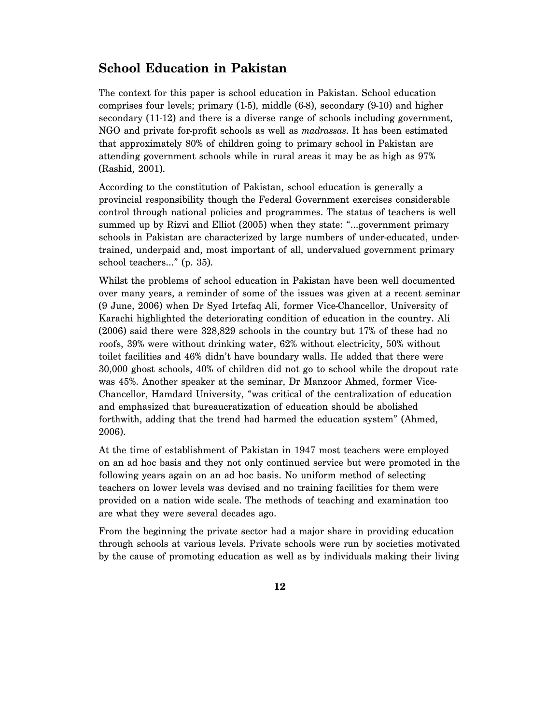# **School Education in Pakistan**

The context for this paper is school education in Pakistan. School education comprises four levels; primary (1-5), middle (6-8), secondary (9-10) and higher secondary (11-12) and there is a diverse range of schools including government, NGO and private for-profit schools as well as *madrassas*. It has been estimated that approximately 80% of children going to primary school in Pakistan are attending government schools while in rural areas it may be as high as 97% (Rashid, 2001).

According to the constitution of Pakistan, school education is generally a provincial responsibility though the Federal Government exercises considerable control through national policies and programmes. The status of teachers is well summed up by Rizvi and Elliot (2005) when they state: "…government primary schools in Pakistan are characterized by large numbers of under-educated, undertrained, underpaid and, most important of all, undervalued government primary school teachers…" (p. 35).

Whilst the problems of school education in Pakistan have been well documented over many years, a reminder of some of the issues was given at a recent seminar (9 June, 2006) when Dr Syed Irtefaq Ali, former Vice-Chancellor, University of Karachi highlighted the deteriorating condition of education in the country. Ali (2006) said there were 328,829 schools in the country but 17% of these had no roofs, 39% were without drinking water, 62% without electricity, 50% without toilet facilities and 46% didn't have boundary walls. He added that there were 30,000 ghost schools, 40% of children did not go to school while the dropout rate was 45%. Another speaker at the seminar, Dr Manzoor Ahmed, former Vice-Chancellor, Hamdard University, "was critical of the centralization of education and emphasized that bureaucratization of education should be abolished forthwith, adding that the trend had harmed the education system" (Ahmed, 2006).

At the time of establishment of Pakistan in 1947 most teachers were employed on an ad hoc basis and they not only continued service but were promoted in the following years again on an ad hoc basis. No uniform method of selecting teachers on lower levels was devised and no training facilities for them were provided on a nation wide scale. The methods of teaching and examination too are what they were several decades ago.

From the beginning the private sector had a major share in providing education through schools at various levels. Private schools were run by societies motivated by the cause of promoting education as well as by individuals making their living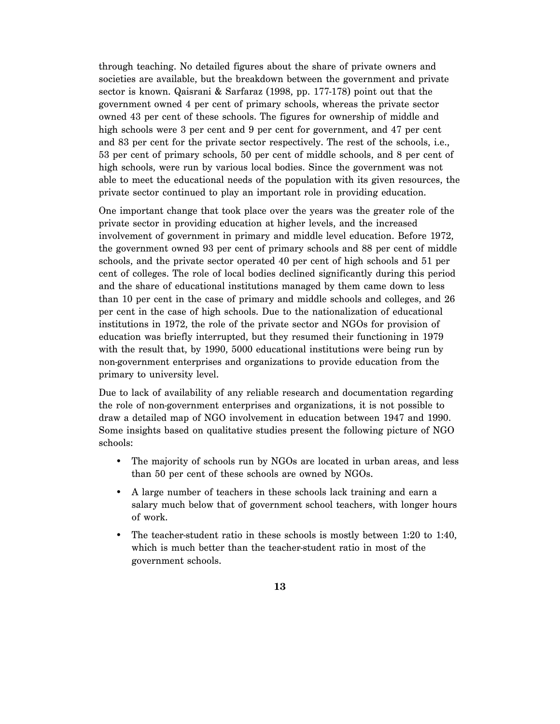through teaching. No detailed figures about the share of private owners and societies are available, but the breakdown between the government and private sector is known. Qaisrani & Sarfaraz (1998, pp. 177-178) point out that the government owned 4 per cent of primary schools, whereas the private sector owned 43 per cent of these schools. The figures for ownership of middle and high schools were 3 per cent and 9 per cent for government, and 47 per cent and 83 per cent for the private sector respectively. The rest of the schools, i.e., 53 per cent of primary schools, 50 per cent of middle schools, and 8 per cent of high schools, were run by various local bodies. Since the government was not able to meet the educational needs of the population with its given resources, the private sector continued to play an important role in providing education.

One important change that took place over the years was the greater role of the private sector in providing education at higher levels, and the increased involvement of government in primary and middle level education. Before 1972, the government owned 93 per cent of primary schools and 88 per cent of middle schools, and the private sector operated 40 per cent of high schools and 51 per cent of colleges. The role of local bodies declined significantly during this period and the share of educational institutions managed by them came down to less than 10 per cent in the case of primary and middle schools and colleges, and 26 per cent in the case of high schools. Due to the nationalization of educational institutions in 1972, the role of the private sector and NGOs for provision of education was briefly interrupted, but they resumed their functioning in 1979 with the result that, by 1990, 5000 educational institutions were being run by non-government enterprises and organizations to provide education from the primary to university level.

Due to lack of availability of any reliable research and documentation regarding the role of non-government enterprises and organizations, it is not possible to draw a detailed map of NGO involvement in education between 1947 and 1990. Some insights based on qualitative studies present the following picture of NGO schools:

- The majority of schools run by NGOs are located in urban areas, and less than 50 per cent of these schools are owned by NGOs.
- A large number of teachers in these schools lack training and earn a salary much below that of government school teachers, with longer hours of work.
- The teacher-student ratio in these schools is mostly between 1:20 to 1:40, which is much better than the teacher-student ratio in most of the government schools.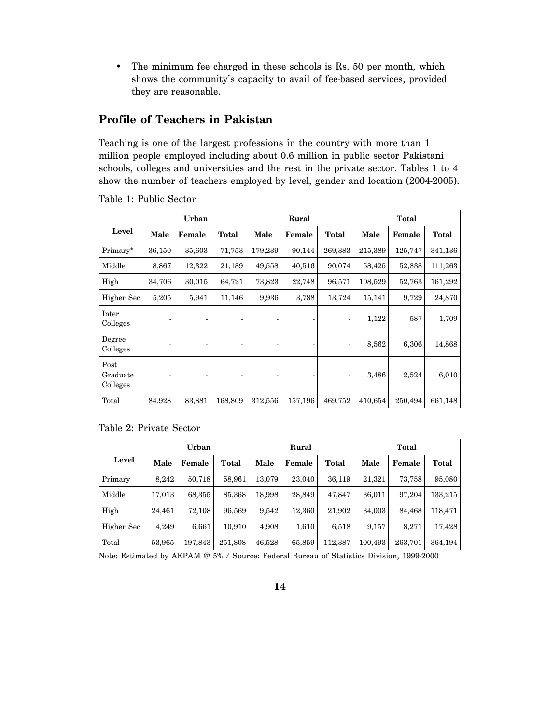• The minimum fee charged in these schools is Rs. 50 per month, which shows the community's capacity to avail of fee-based services, provided they are reasonable.

### **Profile of Teachers in Pakistan**

Teaching is one of the largest professions in the country with more than 1 million people employed including about 0.6 million in public sector Pakistani schools, colleges and universities and the rest in the private sector. Tables 1 to 4 show the number of teachers employed by level, gender and location (2004-2005).

|                              | <b>Urban</b> |        |         | Rural   |         |         | Total   |         |              |
|------------------------------|--------------|--------|---------|---------|---------|---------|---------|---------|--------------|
| Level                        | Male         | Female | Total   | Male    | Female  | Total   | Male    | Female  | <b>Total</b> |
| Primary*                     | 36,150       | 35,603 | 71,753  | 179,239 | 90,144  | 269,383 | 215,389 | 125,747 | 341,136      |
| Middle                       | 8,867        | 12,322 | 21,189  | 49,558  | 40,516  | 90,074  | 58,425  | 52,838  | 111,263      |
| High                         | 34,706       | 30,015 | 64,721  | 73,823  | 22,748  | 96,571  | 108,529 | 52,763  | 161,292      |
| Higher Sec                   | 5,205        | 5,941  | 11,146  | 9,936   | 3,788   | 13,724  | 15,141  | 9,729   | 24,870       |
| Inter<br>Colleges            |              |        |         |         |         |         | 1,122   | 587     | 1,709        |
| Degree<br>Colleges           |              |        |         |         |         |         | 8,562   | 6,306   | 14,868       |
| Post<br>Graduate<br>Colleges |              |        |         |         |         |         | 3,486   | 2,524   | 6,010        |
| Total                        | 84,928       | 83,881 | 168,809 | 312,556 | 157,196 | 469,752 | 410,654 | 250,494 | 661,148      |

Table 1: Public Sector

Table 2: Private Sector

|            | Urban  |         |         | Rural  |        |         | Total   |         |         |
|------------|--------|---------|---------|--------|--------|---------|---------|---------|---------|
| Level      | Male   | Female  | Total   | Male   | Female | Total   | Male    | Female  | Total   |
| Primary    | 8.242  | 50,718  | 58,961  | 13.079 | 23,040 | 36,119  | 21,321  | 73,758  | 95,080  |
| Middle     | 17,013 | 68,355  | 85,368  | 18,998 | 28,849 | 47,847  | 36,011  | 97,204  | 133,215 |
| High       | 24,461 | 72,108  | 96,569  | 9,542  | 12,360 | 21,902  | 34,003  | 84,468  | 118,471 |
| Higher Sec | 4,249  | 6,661   | 10,910  | 4,908  | 1,610  | 6,518   | 9,157   | 8.271   | 17,428  |
| Total      | 53,965 | 197,843 | 251,808 | 46,528 | 65,859 | 112,387 | 100,493 | 263.701 | 364,194 |

Note: Estimated by AEPAM @ 5% / Source: Federal Bureau of Statistics Division, 1999-2000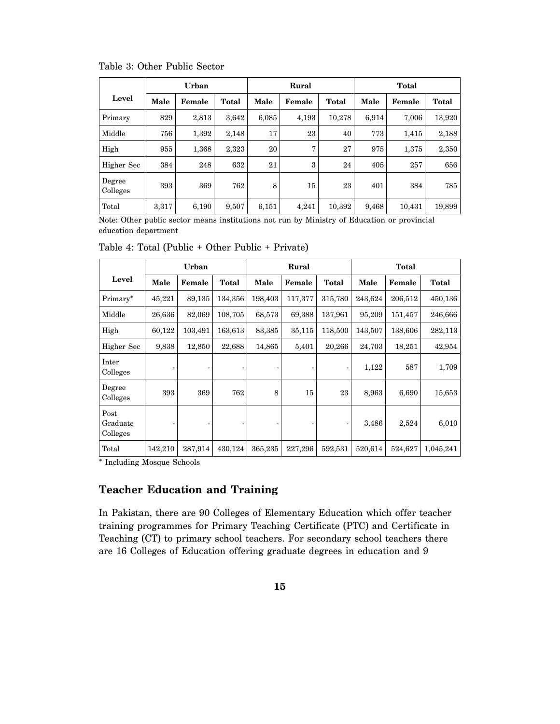|                    | Urban |        |       | Rural |        |        | <b>Total</b> |        |        |
|--------------------|-------|--------|-------|-------|--------|--------|--------------|--------|--------|
| Level              | Male  | Female | Total | Male  | Female | Total  | Male         | Female | Total  |
| Primary            | 829   | 2,813  | 3.642 | 6,085 | 4,193  | 10.278 | 6,914        | 7.006  | 13,920 |
| Middle             | 756   | 1,392  | 2,148 | 17    | 23     | 40     | 773          | 1,415  | 2,188  |
| High               | 955   | 1,368  | 2.323 | 20    | 7      | 27     | 975          | 1,375  | 2,350  |
| Higher Sec         | 384   | 248    | 632   | 21    | 3      | 24     | 405          | 257    | 656    |
| Degree<br>Colleges | 393   | 369    | 762   | 8     | 15     | 23     | 401          | 384    | 785    |
| Total              | 3,317 | 6,190  | 9,507 | 6,151 | 4,241  | 10,392 | 9,468        | 10,431 | 19,899 |

Table 3: Other Public Sector

Note: Other public sector means institutions not run by Ministry of Education or provincial education department

Table 4: Total (Public + Other Public + Private)

|                              | <b>Urban</b> |         |         | Rural   |         |         | Total   |         |           |
|------------------------------|--------------|---------|---------|---------|---------|---------|---------|---------|-----------|
| Level                        | Male         | Female  | Total   | Male    | Female  | Total   | Male    | Female  | Total     |
| Primary*                     | 45,221       | 89,135  | 134,356 | 198,403 | 117,377 | 315,780 | 243,624 | 206,512 | 450,136   |
| Middle                       | 26,636       | 82,069  | 108,705 | 68,573  | 69,388  | 137,961 | 95,209  | 151,457 | 246,666   |
| High                         | 60,122       | 103,491 | 163,613 | 83,385  | 35,115  | 118,500 | 143,507 | 138,606 | 282,113   |
| Higher Sec                   | 9,838        | 12,850  | 22,688  | 14,865  | 5,401   | 20,266  | 24,703  | 18,251  | 42,954    |
| Inter<br>Colleges            |              |         |         |         |         |         | 1,122   | 587     | 1,709     |
| Degree<br>Colleges           | 393          | 369     | 762     | 8       | 15      | 23      | 8,963   | 6,690   | 15,653    |
| Post<br>Graduate<br>Colleges |              |         |         |         |         |         | 3,486   | 2,524   | 6,010     |
| Total                        | 142,210      | 287,914 | 430,124 | 365,235 | 227,296 | 592,531 | 520,614 | 524,627 | 1,045,241 |

\* Including Mosque Schools

### **Teacher Education and Training**

In Pakistan, there are 90 Colleges of Elementary Education which offer teacher training programmes for Primary Teaching Certificate (PTC) and Certificate in Teaching (CT) to primary school teachers. For secondary school teachers there are 16 Colleges of Education offering graduate degrees in education and 9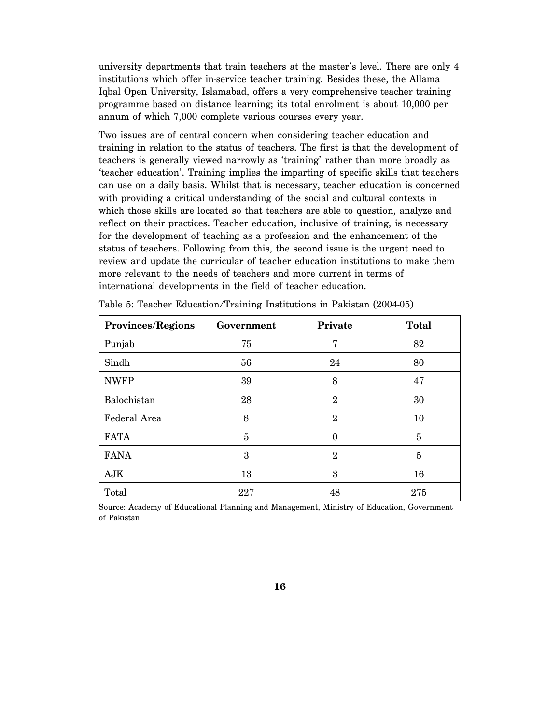university departments that train teachers at the master's level. There are only 4 institutions which offer in-service teacher training. Besides these, the Allama Iqbal Open University, Islamabad, offers a very comprehensive teacher training programme based on distance learning; its total enrolment is about 10,000 per annum of which 7,000 complete various courses every year.

Two issues are of central concern when considering teacher education and training in relation to the status of teachers. The first is that the development of teachers is generally viewed narrowly as 'training' rather than more broadly as 'teacher education'. Training implies the imparting of specific skills that teachers can use on a daily basis. Whilst that is necessary, teacher education is concerned with providing a critical understanding of the social and cultural contexts in which those skills are located so that teachers are able to question, analyze and reflect on their practices. Teacher education, inclusive of training, is necessary for the development of teaching as a profession and the enhancement of the status of teachers. Following from this, the second issue is the urgent need to review and update the curricular of teacher education institutions to make them more relevant to the needs of teachers and more current in terms of international developments in the field of teacher education.

| Provinces/Regions | Government | Private        | <b>Total</b> |
|-------------------|------------|----------------|--------------|
| Punjab            | 75         | 7              | 82           |
| Sindh             | 56         | 24             | 80           |
| <b>NWFP</b>       | 39         | 8              | 47           |
| Balochistan       | 28         | $\mathbf{2}$   | 30           |
| Federal Area      | 8          | $\overline{2}$ | 10           |
| <b>FATA</b>       | 5          | $\Omega$       | 5            |
| <b>FANA</b>       | 3          | $\mathbf{2}$   | 5            |
| AJK               | 13         | 3              | 16           |
| Total             | 227        | 48             | 275          |

Table 5: Teacher Education/Training Institutions in Pakistan (2004-05)

Source: Academy of Educational Planning and Management, Ministry of Education, Government of Pakistan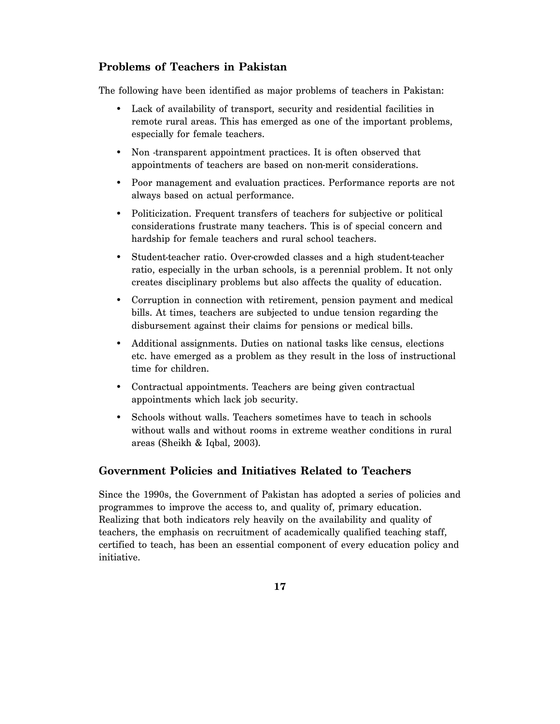### **Problems of Teachers in Pakistan**

The following have been identified as major problems of teachers in Pakistan:

- Lack of availability of transport, security and residential facilities in remote rural areas. This has emerged as one of the important problems, especially for female teachers.
- Non -transparent appointment practices. It is often observed that appointments of teachers are based on non-merit considerations.
- Poor management and evaluation practices. Performance reports are not always based on actual performance.
- Politicization. Frequent transfers of teachers for subjective or political considerations frustrate many teachers. This is of special concern and hardship for female teachers and rural school teachers.
- Student-teacher ratio. Over-crowded classes and a high student-teacher ratio, especially in the urban schools, is a perennial problem. It not only creates disciplinary problems but also affects the quality of education.
- Corruption in connection with retirement, pension payment and medical bills. At times, teachers are subjected to undue tension regarding the disbursement against their claims for pensions or medical bills.
- Additional assignments. Duties on national tasks like census, elections etc. have emerged as a problem as they result in the loss of instructional time for children.
- Contractual appointments. Teachers are being given contractual appointments which lack job security.
- Schools without walls. Teachers sometimes have to teach in schools without walls and without rooms in extreme weather conditions in rural areas (Sheikh & Iqbal, 2003).

### **Government Policies and Initiatives Related to Teachers**

Since the 1990s, the Government of Pakistan has adopted a series of policies and programmes to improve the access to, and quality of, primary education. Realizing that both indicators rely heavily on the availability and quality of teachers, the emphasis on recruitment of academically qualified teaching staff, certified to teach, has been an essential component of every education policy and initiative.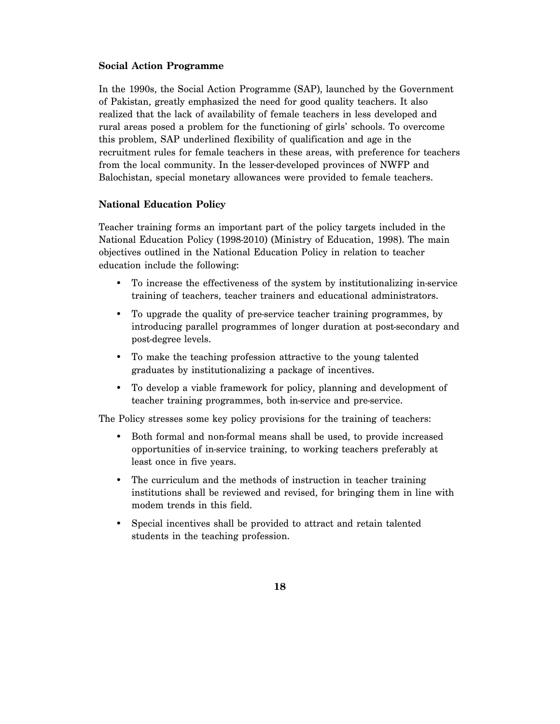#### **Social Action Programme**

In the 1990s, the Social Action Programme (SAP), launched by the Government of Pakistan, greatly emphasized the need for good quality teachers. It also realized that the lack of availability of female teachers in less developed and rural areas posed a problem for the functioning of girls' schools. To overcome this problem, SAP underlined flexibility of qualification and age in the recruitment rules for female teachers in these areas, with preference for teachers from the local community. In the lesser-developed provinces of NWFP and Balochistan, special monetary allowances were provided to female teachers.

#### **National Education Policy**

Teacher training forms an important part of the policy targets included in the National Education Policy (1998-2010) (Ministry of Education, 1998). The main objectives outlined in the National Education Policy in relation to teacher education include the following:

- To increase the effectiveness of the system by institutionalizing in-service training of teachers, teacher trainers and educational administrators.
- To upgrade the quality of pre-service teacher training programmes, by introducing parallel programmes of longer duration at post-secondary and post-degree levels.
- To make the teaching profession attractive to the young talented graduates by institutionalizing a package of incentives.
- To develop a viable framework for policy, planning and development of teacher training programmes, both in-service and pre-service.

The Policy stresses some key policy provisions for the training of teachers:

- Both formal and non-formal means shall be used, to provide increased opportunities of in-service training, to working teachers preferably at least once in five years.
- The curriculum and the methods of instruction in teacher training institutions shall be reviewed and revised, for bringing them in line with modem trends in this field.
- Special incentives shall be provided to attract and retain talented students in the teaching profession.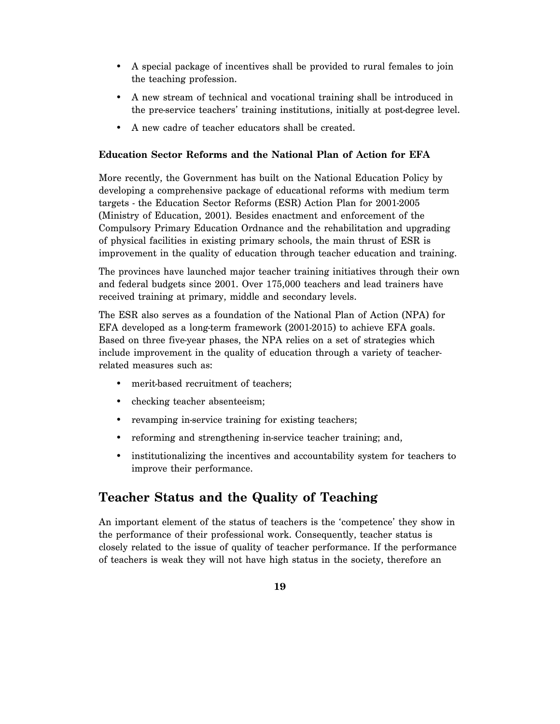- A special package of incentives shall be provided to rural females to join the teaching profession.
- A new stream of technical and vocational training shall be introduced in the pre-service teachers' training institutions, initially at post-degree level.
- A new cadre of teacher educators shall be created.

#### **Education Sector Reforms and the National Plan of Action for EFA**

More recently, the Government has built on the National Education Policy by developing a comprehensive package of educational reforms with medium term targets - the Education Sector Reforms (ESR) Action Plan for 2001-2005 (Ministry of Education, 2001). Besides enactment and enforcement of the Compulsory Primary Education Ordnance and the rehabilitation and upgrading of physical facilities in existing primary schools, the main thrust of ESR is improvement in the quality of education through teacher education and training.

The provinces have launched major teacher training initiatives through their own and federal budgets since 2001. Over 175,000 teachers and lead trainers have received training at primary, middle and secondary levels.

The ESR also serves as a foundation of the National Plan of Action (NPA) for EFA developed as a long-term framework (2001-2015) to achieve EFA goals. Based on three five-year phases, the NPA relies on a set of strategies which include improvement in the quality of education through a variety of teacherrelated measures such as:

- merit-based recruitment of teachers;
- checking teacher absenteeism;
- revamping in-service training for existing teachers;
- reforming and strengthening in-service teacher training; and,
- institutionalizing the incentives and accountability system for teachers to improve their performance.

# **Teacher Status and the Quality of Teaching**

An important element of the status of teachers is the 'competence' they show in the performance of their professional work. Consequently, teacher status is closely related to the issue of quality of teacher performance. If the performance of teachers is weak they will not have high status in the society, therefore an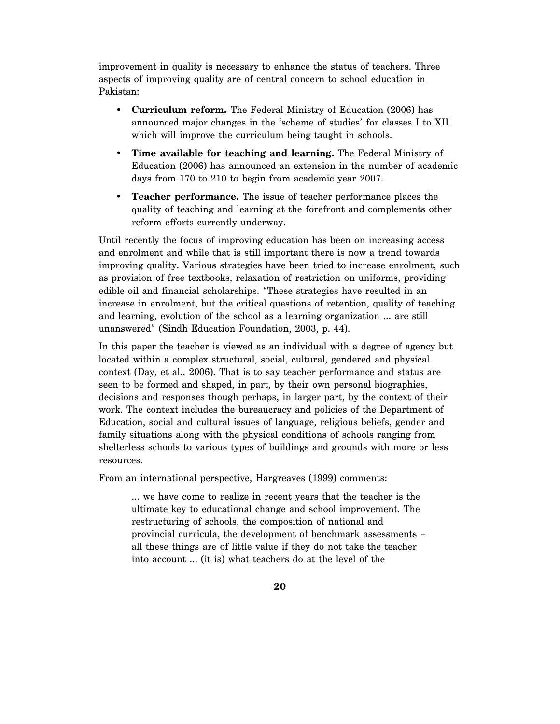improvement in quality is necessary to enhance the status of teachers. Three aspects of improving quality are of central concern to school education in Pakistan:

- **Curriculum reform.** The Federal Ministry of Education (2006) has announced major changes in the 'scheme of studies' for classes I to XII which will improve the curriculum being taught in schools.
- **Time available for teaching and learning.** The Federal Ministry of Education (2006) has announced an extension in the number of academic days from 170 to 210 to begin from academic year 2007.
- **Teacher performance.** The issue of teacher performance places the quality of teaching and learning at the forefront and complements other reform efforts currently underway.

Until recently the focus of improving education has been on increasing access and enrolment and while that is still important there is now a trend towards improving quality. Various strategies have been tried to increase enrolment, such as provision of free textbooks, relaxation of restriction on uniforms, providing edible oil and financial scholarships. "These strategies have resulted in an increase in enrolment, but the critical questions of retention, quality of teaching and learning, evolution of the school as a learning organization … are still unanswered" (Sindh Education Foundation, 2003, p. 44).

In this paper the teacher is viewed as an individual with a degree of agency but located within a complex structural, social, cultural, gendered and physical context (Day, et al., 2006). That is to say teacher performance and status are seen to be formed and shaped, in part, by their own personal biographies, decisions and responses though perhaps, in larger part, by the context of their work. The context includes the bureaucracy and policies of the Department of Education, social and cultural issues of language, religious beliefs, gender and family situations along with the physical conditions of schools ranging from shelterless schools to various types of buildings and grounds with more or less resources.

From an international perspective, Hargreaves (1999) comments:

… we have come to realize in recent years that the teacher is the ultimate key to educational change and school improvement. The restructuring of schools, the composition of national and provincial curricula, the development of benchmark assessments – all these things are of little value if they do not take the teacher into account … (it is) what teachers do at the level of the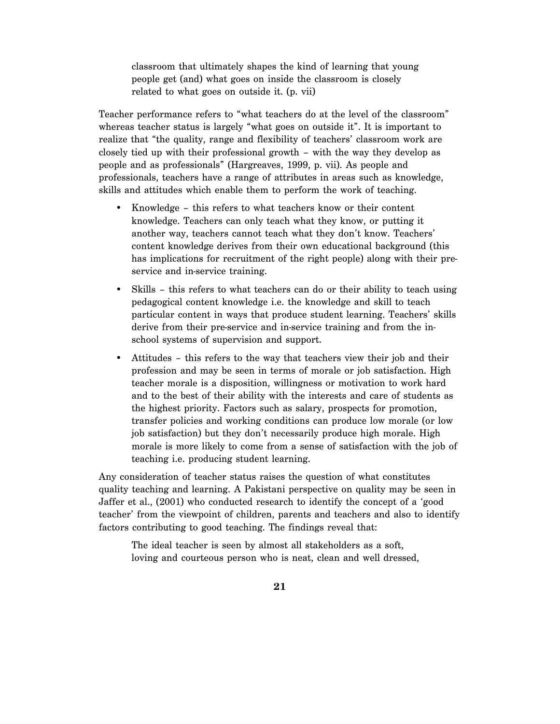classroom that ultimately shapes the kind of learning that young people get (and) what goes on inside the classroom is closely related to what goes on outside it. (p. vii)

Teacher performance refers to "what teachers do at the level of the classroom" whereas teacher status is largely "what goes on outside it". It is important to realize that "the quality, range and flexibility of teachers' classroom work are closely tied up with their professional growth – with the way they develop as people and as professionals" (Hargreaves, 1999, p. vii). As people and professionals, teachers have a range of attributes in areas such as knowledge, skills and attitudes which enable them to perform the work of teaching.

- Knowledge this refers to what teachers know or their content knowledge. Teachers can only teach what they know, or putting it another way, teachers cannot teach what they don't know. Teachers' content knowledge derives from their own educational background (this has implications for recruitment of the right people) along with their preservice and in-service training.
- Skills this refers to what teachers can do or their ability to teach using pedagogical content knowledge i.e. the knowledge and skill to teach particular content in ways that produce student learning. Teachers' skills derive from their pre-service and in-service training and from the inschool systems of supervision and support.
- Attitudes this refers to the way that teachers view their job and their profession and may be seen in terms of morale or job satisfaction. High teacher morale is a disposition, willingness or motivation to work hard and to the best of their ability with the interests and care of students as the highest priority. Factors such as salary, prospects for promotion, transfer policies and working conditions can produce low morale (or low job satisfaction) but they don't necessarily produce high morale. High morale is more likely to come from a sense of satisfaction with the job of teaching i.e. producing student learning.

Any consideration of teacher status raises the question of what constitutes quality teaching and learning. A Pakistani perspective on quality may be seen in Jaffer et al., (2001) who conducted research to identify the concept of a 'good teacher' from the viewpoint of children, parents and teachers and also to identify factors contributing to good teaching. The findings reveal that:

The ideal teacher is seen by almost all stakeholders as a soft, loving and courteous person who is neat, clean and well dressed,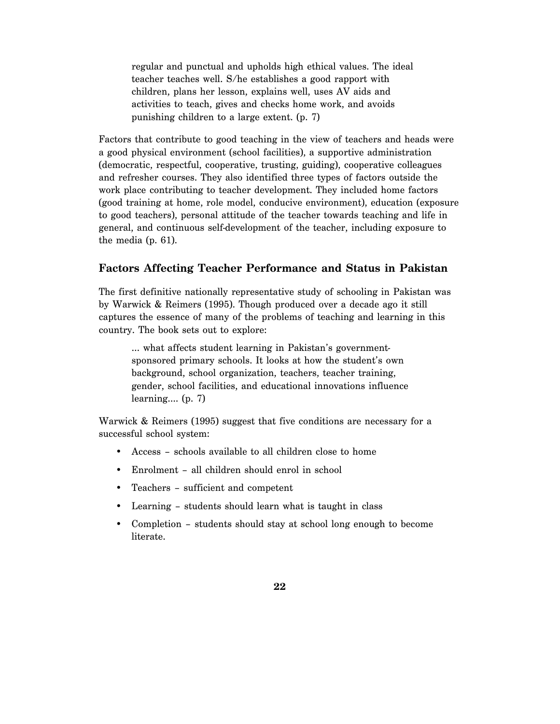regular and punctual and upholds high ethical values. The ideal teacher teaches well. S/he establishes a good rapport with children, plans her lesson, explains well, uses AV aids and activities to teach, gives and checks home work, and avoids punishing children to a large extent. (p. 7)

Factors that contribute to good teaching in the view of teachers and heads were a good physical environment (school facilities), a supportive administration (democratic, respectful, cooperative, trusting, guiding), cooperative colleagues and refresher courses. They also identified three types of factors outside the work place contributing to teacher development. They included home factors (good training at home, role model, conducive environment), education (exposure to good teachers), personal attitude of the teacher towards teaching and life in general, and continuous self-development of the teacher, including exposure to the media (p. 61).

### **Factors Affecting Teacher Performance and Status in Pakistan**

The first definitive nationally representative study of schooling in Pakistan was by Warwick & Reimers (1995). Though produced over a decade ago it still captures the essence of many of the problems of teaching and learning in this country. The book sets out to explore:

… what affects student learning in Pakistan's governmentsponsored primary schools. It looks at how the student's own background, school organization, teachers, teacher training, gender, school facilities, and educational innovations influence learning…. (p. 7)

Warwick & Reimers (1995) suggest that five conditions are necessary for a successful school system:

- Access schools available to all children close to home
- Enrolment all children should enrol in school
- Teachers sufficient and competent
- Learning students should learn what is taught in class
- Completion students should stay at school long enough to become literate.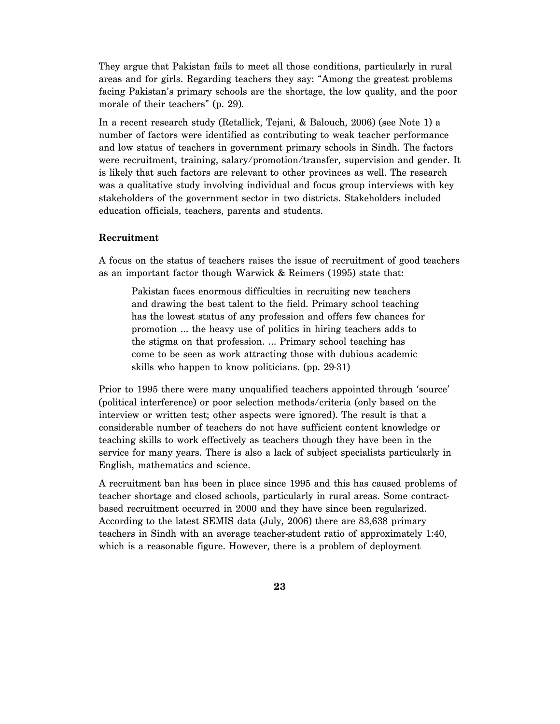They argue that Pakistan fails to meet all those conditions, particularly in rural areas and for girls. Regarding teachers they say: "Among the greatest problems facing Pakistan's primary schools are the shortage, the low quality, and the poor morale of their teachers" (p. 29).

In a recent research study (Retallick, Tejani, & Balouch, 2006) (see Note 1) a number of factors were identified as contributing to weak teacher performance and low status of teachers in government primary schools in Sindh. The factors were recruitment, training, salary/promotion/transfer, supervision and gender. It is likely that such factors are relevant to other provinces as well. The research was a qualitative study involving individual and focus group interviews with key stakeholders of the government sector in two districts. Stakeholders included education officials, teachers, parents and students.

#### **Recruitment**

A focus on the status of teachers raises the issue of recruitment of good teachers as an important factor though Warwick & Reimers (1995) state that:

Pakistan faces enormous difficulties in recruiting new teachers and drawing the best talent to the field. Primary school teaching has the lowest status of any profession and offers few chances for promotion … the heavy use of politics in hiring teachers adds to the stigma on that profession. … Primary school teaching has come to be seen as work attracting those with dubious academic skills who happen to know politicians. (pp. 29-31)

Prior to 1995 there were many unqualified teachers appointed through 'source' (political interference) or poor selection methods/criteria (only based on the interview or written test; other aspects were ignored). The result is that a considerable number of teachers do not have sufficient content knowledge or teaching skills to work effectively as teachers though they have been in the service for many years. There is also a lack of subject specialists particularly in English, mathematics and science.

A recruitment ban has been in place since 1995 and this has caused problems of teacher shortage and closed schools, particularly in rural areas. Some contractbased recruitment occurred in 2000 and they have since been regularized. According to the latest SEMIS data (July, 2006) there are 83,638 primary teachers in Sindh with an average teacher-student ratio of approximately 1:40, which is a reasonable figure. However, there is a problem of deployment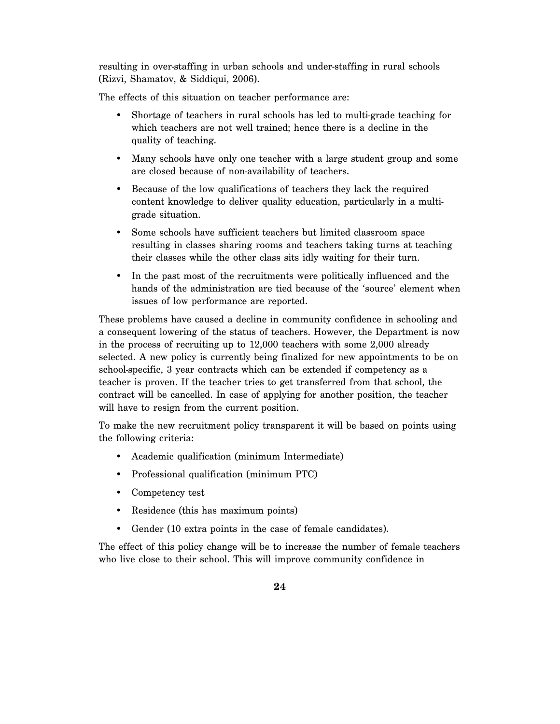resulting in over-staffing in urban schools and under-staffing in rural schools (Rizvi, Shamatov, & Siddiqui, 2006).

The effects of this situation on teacher performance are:

- Shortage of teachers in rural schools has led to multi-grade teaching for which teachers are not well trained; hence there is a decline in the quality of teaching.
- Many schools have only one teacher with a large student group and some are closed because of non-availability of teachers.
- Because of the low qualifications of teachers they lack the required content knowledge to deliver quality education, particularly in a multigrade situation.
- Some schools have sufficient teachers but limited classroom space resulting in classes sharing rooms and teachers taking turns at teaching their classes while the other class sits idly waiting for their turn.
- In the past most of the recruitments were politically influenced and the hands of the administration are tied because of the 'source' element when issues of low performance are reported.

These problems have caused a decline in community confidence in schooling and a consequent lowering of the status of teachers. However, the Department is now in the process of recruiting up to 12,000 teachers with some 2,000 already selected. A new policy is currently being finalized for new appointments to be on school-specific, 3 year contracts which can be extended if competency as a teacher is proven. If the teacher tries to get transferred from that school, the contract will be cancelled. In case of applying for another position, the teacher will have to resign from the current position.

To make the new recruitment policy transparent it will be based on points using the following criteria:

- Academic qualification (minimum Intermediate)
- Professional qualification (minimum PTC)
- Competency test
- Residence (this has maximum points)
- Gender (10 extra points in the case of female candidates).

The effect of this policy change will be to increase the number of female teachers who live close to their school. This will improve community confidence in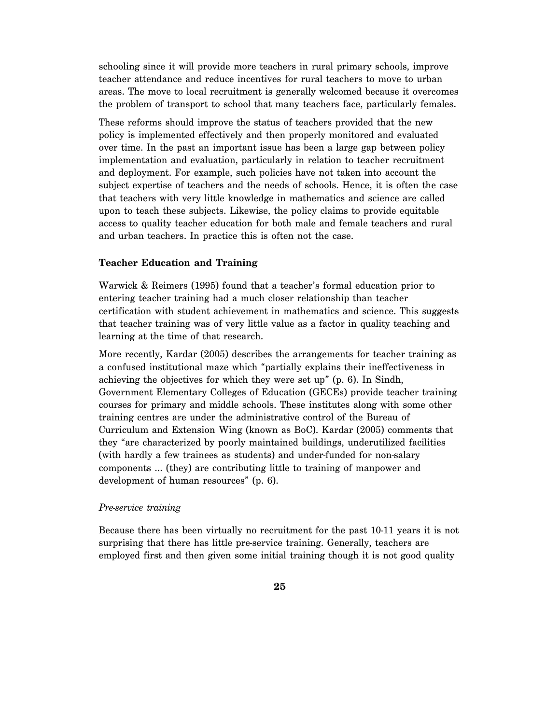schooling since it will provide more teachers in rural primary schools, improve teacher attendance and reduce incentives for rural teachers to move to urban areas. The move to local recruitment is generally welcomed because it overcomes the problem of transport to school that many teachers face, particularly females.

These reforms should improve the status of teachers provided that the new policy is implemented effectively and then properly monitored and evaluated over time. In the past an important issue has been a large gap between policy implementation and evaluation, particularly in relation to teacher recruitment and deployment. For example, such policies have not taken into account the subject expertise of teachers and the needs of schools. Hence, it is often the case that teachers with very little knowledge in mathematics and science are called upon to teach these subjects. Likewise, the policy claims to provide equitable access to quality teacher education for both male and female teachers and rural and urban teachers. In practice this is often not the case.

#### **Teacher Education and Training**

Warwick & Reimers (1995) found that a teacher's formal education prior to entering teacher training had a much closer relationship than teacher certification with student achievement in mathematics and science. This suggests that teacher training was of very little value as a factor in quality teaching and learning at the time of that research.

More recently, Kardar (2005) describes the arrangements for teacher training as a confused institutional maze which "partially explains their ineffectiveness in achieving the objectives for which they were set up" (p. 6). In Sindh, Government Elementary Colleges of Education (GECEs) provide teacher training courses for primary and middle schools. These institutes along with some other training centres are under the administrative control of the Bureau of Curriculum and Extension Wing (known as BoC). Kardar (2005) comments that they "are characterized by poorly maintained buildings, underutilized facilities (with hardly a few trainees as students) and under-funded for non-salary components … (they) are contributing little to training of manpower and development of human resources" (p. 6).

#### *Pre-service training*

Because there has been virtually no recruitment for the past 10-11 years it is not surprising that there has little pre-service training. Generally, teachers are employed first and then given some initial training though it is not good quality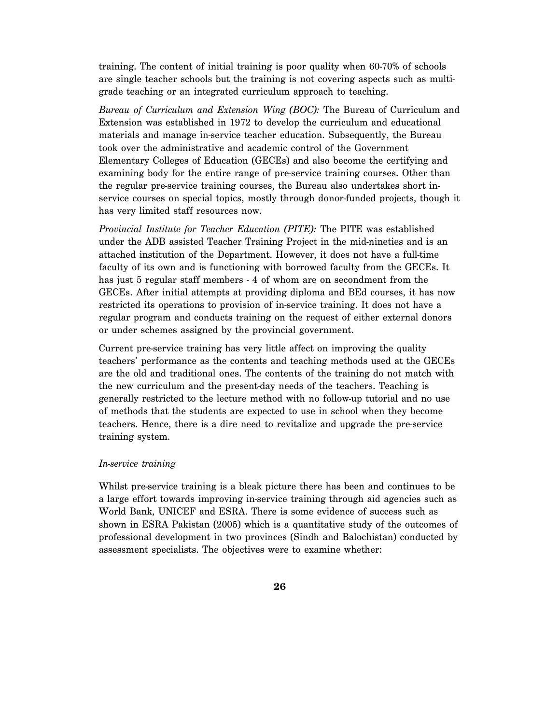training. The content of initial training is poor quality when 60-70% of schools are single teacher schools but the training is not covering aspects such as multigrade teaching or an integrated curriculum approach to teaching.

*Bureau of Curriculum and Extension Wing (BOC):* The Bureau of Curriculum and Extension was established in 1972 to develop the curriculum and educational materials and manage in-service teacher education. Subsequently, the Bureau took over the administrative and academic control of the Government Elementary Colleges of Education (GECEs) and also become the certifying and examining body for the entire range of pre-service training courses. Other than the regular pre-service training courses, the Bureau also undertakes short inservice courses on special topics, mostly through donor-funded projects, though it has very limited staff resources now.

*Provincial Institute for Teacher Education (PITE):* The PITE was established under the ADB assisted Teacher Training Project in the mid-nineties and is an attached institution of the Department. However, it does not have a full-time faculty of its own and is functioning with borrowed faculty from the GECEs. It has just 5 regular staff members - 4 of whom are on secondment from the GECEs. After initial attempts at providing diploma and BEd courses, it has now restricted its operations to provision of in-service training. It does not have a regular program and conducts training on the request of either external donors or under schemes assigned by the provincial government.

Current pre-service training has very little affect on improving the quality teachers' performance as the contents and teaching methods used at the GECEs are the old and traditional ones. The contents of the training do not match with the new curriculum and the present-day needs of the teachers. Teaching is generally restricted to the lecture method with no follow-up tutorial and no use of methods that the students are expected to use in school when they become teachers. Hence, there is a dire need to revitalize and upgrade the pre-service training system.

#### *In-service training*

Whilst pre-service training is a bleak picture there has been and continues to be a large effort towards improving in-service training through aid agencies such as World Bank, UNICEF and ESRA. There is some evidence of success such as shown in ESRA Pakistan (2005) which is a quantitative study of the outcomes of professional development in two provinces (Sindh and Balochistan) conducted by assessment specialists. The objectives were to examine whether: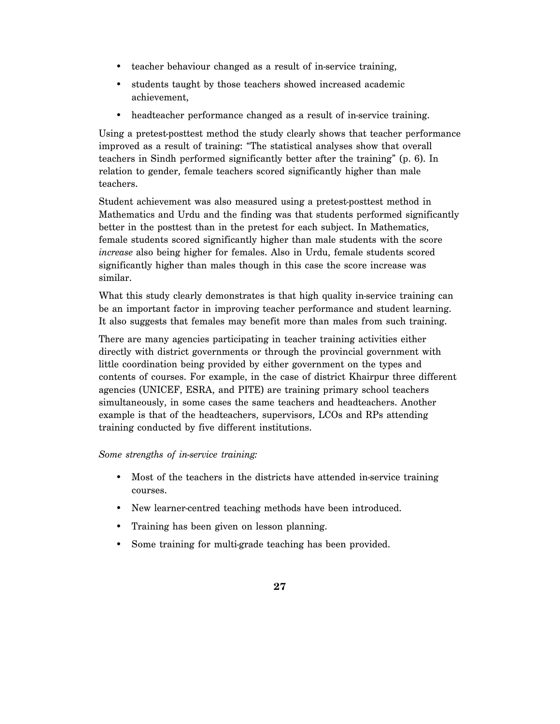- teacher behaviour changed as a result of in-service training,
- students taught by those teachers showed increased academic achievement,
- headteacher performance changed as a result of in-service training.

Using a pretest-posttest method the study clearly shows that teacher performance improved as a result of training: "The statistical analyses show that overall teachers in Sindh performed significantly better after the training" (p. 6). In relation to gender, female teachers scored significantly higher than male teachers.

Student achievement was also measured using a pretest-posttest method in Mathematics and Urdu and the finding was that students performed significantly better in the posttest than in the pretest for each subject. In Mathematics, female students scored significantly higher than male students with the score *increase* also being higher for females. Also in Urdu, female students scored significantly higher than males though in this case the score increase was similar.

What this study clearly demonstrates is that high quality in-service training can be an important factor in improving teacher performance and student learning. It also suggests that females may benefit more than males from such training.

There are many agencies participating in teacher training activities either directly with district governments or through the provincial government with little coordination being provided by either government on the types and contents of courses. For example, in the case of district Khairpur three different agencies (UNICEF, ESRA, and PITE) are training primary school teachers simultaneously, in some cases the same teachers and headteachers. Another example is that of the headteachers, supervisors, LCOs and RPs attending training conducted by five different institutions.

*Some strengths of in-service training:* 

- Most of the teachers in the districts have attended in-service training courses.
- New learner-centred teaching methods have been introduced.
- Training has been given on lesson planning.
- Some training for multi-grade teaching has been provided.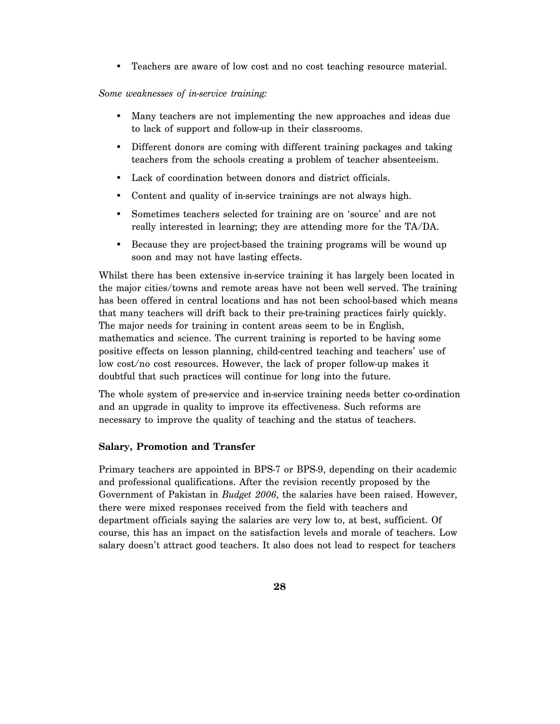• Teachers are aware of low cost and no cost teaching resource material.

#### *Some weaknesses of in-service training:*

- Many teachers are not implementing the new approaches and ideas due to lack of support and follow-up in their classrooms.
- Different donors are coming with different training packages and taking teachers from the schools creating a problem of teacher absenteeism.
- Lack of coordination between donors and district officials.
- Content and quality of in-service trainings are not always high.
- Sometimes teachers selected for training are on 'source' and are not really interested in learning; they are attending more for the TA/DA.
- Because they are project-based the training programs will be wound up soon and may not have lasting effects.

Whilst there has been extensive in-service training it has largely been located in the major cities/towns and remote areas have not been well served. The training has been offered in central locations and has not been school-based which means that many teachers will drift back to their pre-training practices fairly quickly. The major needs for training in content areas seem to be in English, mathematics and science. The current training is reported to be having some positive effects on lesson planning, child-centred teaching and teachers' use of low cost/no cost resources. However, the lack of proper follow-up makes it doubtful that such practices will continue for long into the future.

The whole system of pre-service and in-service training needs better co-ordination and an upgrade in quality to improve its effectiveness. Such reforms are necessary to improve the quality of teaching and the status of teachers.

#### **Salary, Promotion and Transfer**

Primary teachers are appointed in BPS-7 or BPS-9, depending on their academic and professional qualifications. After the revision recently proposed by the Government of Pakistan in *Budget 2006*, the salaries have been raised. However, there were mixed responses received from the field with teachers and department officials saying the salaries are very low to, at best, sufficient. Of course, this has an impact on the satisfaction levels and morale of teachers. Low salary doesn't attract good teachers. It also does not lead to respect for teachers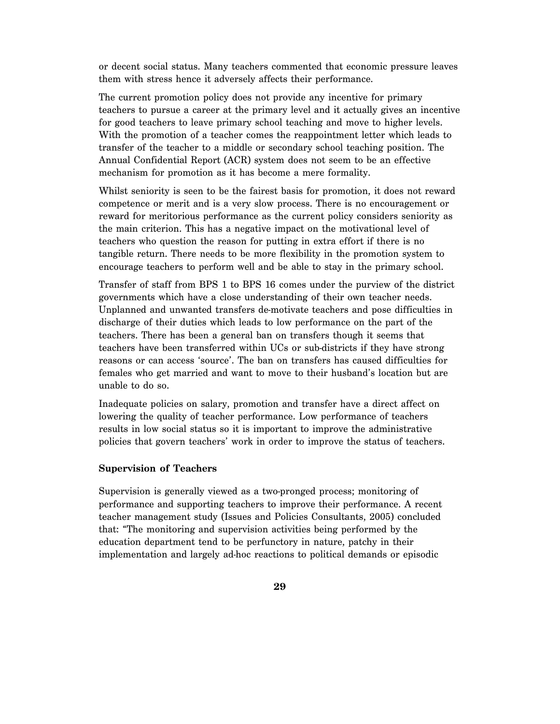or decent social status. Many teachers commented that economic pressure leaves them with stress hence it adversely affects their performance.

The current promotion policy does not provide any incentive for primary teachers to pursue a career at the primary level and it actually gives an incentive for good teachers to leave primary school teaching and move to higher levels. With the promotion of a teacher comes the reappointment letter which leads to transfer of the teacher to a middle or secondary school teaching position. The Annual Confidential Report (ACR) system does not seem to be an effective mechanism for promotion as it has become a mere formality.

Whilst seniority is seen to be the fairest basis for promotion, it does not reward competence or merit and is a very slow process. There is no encouragement or reward for meritorious performance as the current policy considers seniority as the main criterion. This has a negative impact on the motivational level of teachers who question the reason for putting in extra effort if there is no tangible return. There needs to be more flexibility in the promotion system to encourage teachers to perform well and be able to stay in the primary school.

Transfer of staff from BPS 1 to BPS 16 comes under the purview of the district governments which have a close understanding of their own teacher needs. Unplanned and unwanted transfers de-motivate teachers and pose difficulties in discharge of their duties which leads to low performance on the part of the teachers. There has been a general ban on transfers though it seems that teachers have been transferred within UCs or sub-districts if they have strong reasons or can access 'source'. The ban on transfers has caused difficulties for females who get married and want to move to their husband's location but are unable to do so.

Inadequate policies on salary, promotion and transfer have a direct affect on lowering the quality of teacher performance. Low performance of teachers results in low social status so it is important to improve the administrative policies that govern teachers' work in order to improve the status of teachers.

#### **Supervision of Teachers**

Supervision is generally viewed as a two-pronged process; monitoring of performance and supporting teachers to improve their performance. A recent teacher management study (Issues and Policies Consultants, 2005) concluded that: "The monitoring and supervision activities being performed by the education department tend to be perfunctory in nature, patchy in their implementation and largely ad-hoc reactions to political demands or episodic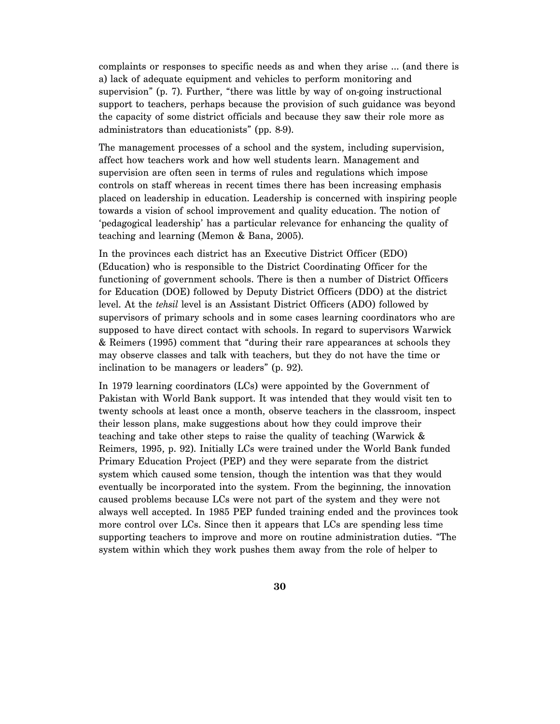complaints or responses to specific needs as and when they arise … (and there is a) lack of adequate equipment and vehicles to perform monitoring and supervision" (p. 7). Further, "there was little by way of on-going instructional support to teachers, perhaps because the provision of such guidance was beyond the capacity of some district officials and because they saw their role more as administrators than educationists" (pp. 8-9).

The management processes of a school and the system, including supervision, affect how teachers work and how well students learn. Management and supervision are often seen in terms of rules and regulations which impose controls on staff whereas in recent times there has been increasing emphasis placed on leadership in education. Leadership is concerned with inspiring people towards a vision of school improvement and quality education. The notion of 'pedagogical leadership' has a particular relevance for enhancing the quality of teaching and learning (Memon & Bana, 2005).

In the provinces each district has an Executive District Officer (EDO) (Education) who is responsible to the District Coordinating Officer for the functioning of government schools. There is then a number of District Officers for Education (DOE) followed by Deputy District Officers (DDO) at the district level. At the *tehsil* level is an Assistant District Officers (ADO) followed by supervisors of primary schools and in some cases learning coordinators who are supposed to have direct contact with schools. In regard to supervisors Warwick & Reimers (1995) comment that "during their rare appearances at schools they may observe classes and talk with teachers, but they do not have the time or inclination to be managers or leaders" (p. 92).

In 1979 learning coordinators (LCs) were appointed by the Government of Pakistan with World Bank support. It was intended that they would visit ten to twenty schools at least once a month, observe teachers in the classroom, inspect their lesson plans, make suggestions about how they could improve their teaching and take other steps to raise the quality of teaching (Warwick & Reimers, 1995, p. 92). Initially LCs were trained under the World Bank funded Primary Education Project (PEP) and they were separate from the district system which caused some tension, though the intention was that they would eventually be incorporated into the system. From the beginning, the innovation caused problems because LCs were not part of the system and they were not always well accepted. In 1985 PEP funded training ended and the provinces took more control over LCs. Since then it appears that LCs are spending less time supporting teachers to improve and more on routine administration duties. "The system within which they work pushes them away from the role of helper to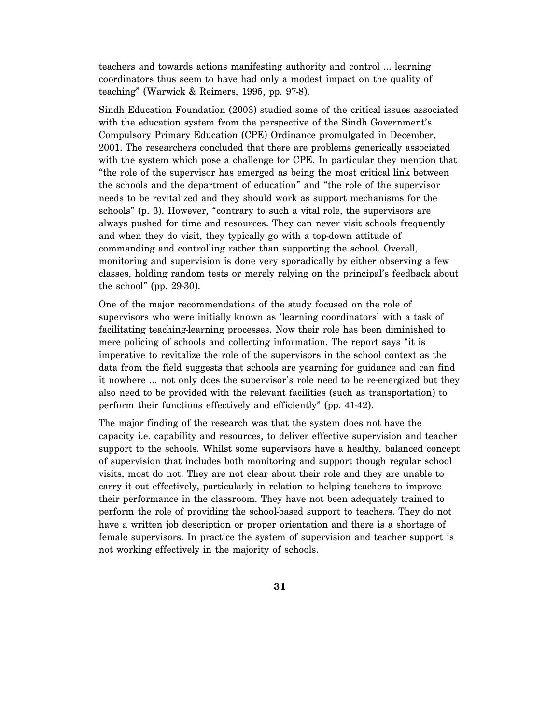teachers and towards actions manifesting authority and control … learning coordinators thus seem to have had only a modest impact on the quality of teaching" (Warwick & Reimers, 1995, pp. 97-8).

Sindh Education Foundation (2003) studied some of the critical issues associated with the education system from the perspective of the Sindh Government's Compulsory Primary Education (CPE) Ordinance promulgated in December, 2001. The researchers concluded that there are problems generically associated with the system which pose a challenge for CPE. In particular they mention that "the role of the supervisor has emerged as being the most critical link between the schools and the department of education" and "the role of the supervisor needs to be revitalized and they should work as support mechanisms for the schools" (p. 3). However, "contrary to such a vital role, the supervisors are always pushed for time and resources. They can never visit schools frequently and when they do visit, they typically go with a top-down attitude of commanding and controlling rather than supporting the school. Overall, monitoring and supervision is done very sporadically by either observing a few classes, holding random tests or merely relying on the principal's feedback about the school" (pp. 29-30).

One of the major recommendations of the study focused on the role of supervisors who were initially known as 'learning coordinators' with a task of facilitating teaching-learning processes. Now their role has been diminished to mere policing of schools and collecting information. The report says "it is imperative to revitalize the role of the supervisors in the school context as the data from the field suggests that schools are yearning for guidance and can find it nowhere … not only does the supervisor's role need to be re-energized but they also need to be provided with the relevant facilities (such as transportation) to perform their functions effectively and efficiently" (pp. 41-42).

The major finding of the research was that the system does not have the capacity i.e. capability and resources, to deliver effective supervision and teacher support to the schools. Whilst some supervisors have a healthy, balanced concept of supervision that includes both monitoring and support though regular school visits, most do not. They are not clear about their role and they are unable to carry it out effectively, particularly in relation to helping teachers to improve their performance in the classroom. They have not been adequately trained to perform the role of providing the school-based support to teachers. They do not have a written job description or proper orientation and there is a shortage of female supervisors. In practice the system of supervision and teacher support is not working effectively in the majority of schools.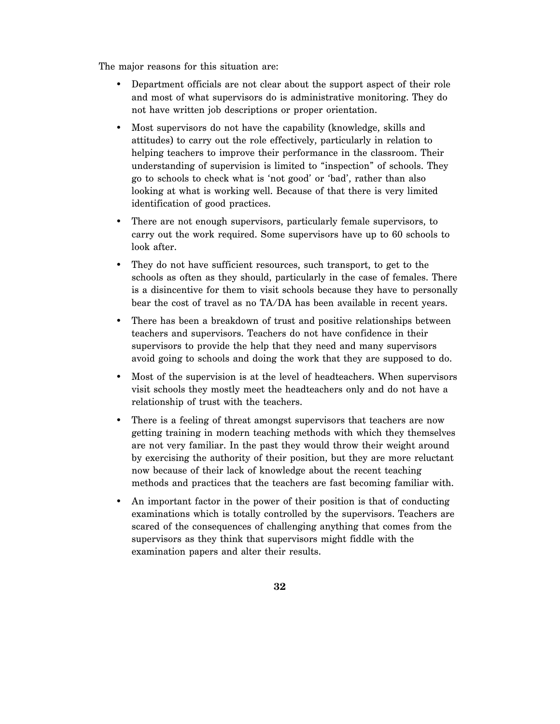The major reasons for this situation are:

- Department officials are not clear about the support aspect of their role and most of what supervisors do is administrative monitoring. They do not have written job descriptions or proper orientation.
- Most supervisors do not have the capability (knowledge, skills and attitudes) to carry out the role effectively, particularly in relation to helping teachers to improve their performance in the classroom. Their understanding of supervision is limited to "inspection" of schools. They go to schools to check what is 'not good' or 'bad', rather than also looking at what is working well. Because of that there is very limited identification of good practices.
- There are not enough supervisors, particularly female supervisors, to carry out the work required. Some supervisors have up to 60 schools to look after.
- They do not have sufficient resources, such transport, to get to the schools as often as they should, particularly in the case of females. There is a disincentive for them to visit schools because they have to personally bear the cost of travel as no TA/DA has been available in recent years.
- There has been a breakdown of trust and positive relationships between teachers and supervisors. Teachers do not have confidence in their supervisors to provide the help that they need and many supervisors avoid going to schools and doing the work that they are supposed to do.
- Most of the supervision is at the level of headteachers. When supervisors visit schools they mostly meet the headteachers only and do not have a relationship of trust with the teachers.
- There is a feeling of threat amongst supervisors that teachers are now getting training in modern teaching methods with which they themselves are not very familiar. In the past they would throw their weight around by exercising the authority of their position, but they are more reluctant now because of their lack of knowledge about the recent teaching methods and practices that the teachers are fast becoming familiar with.
- An important factor in the power of their position is that of conducting examinations which is totally controlled by the supervisors. Teachers are scared of the consequences of challenging anything that comes from the supervisors as they think that supervisors might fiddle with the examination papers and alter their results.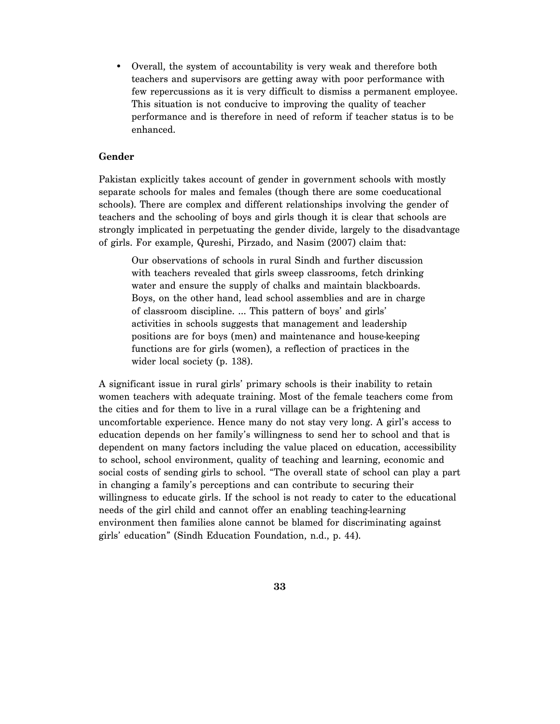• Overall, the system of accountability is very weak and therefore both teachers and supervisors are getting away with poor performance with few repercussions as it is very difficult to dismiss a permanent employee. This situation is not conducive to improving the quality of teacher performance and is therefore in need of reform if teacher status is to be enhanced.

#### **Gender**

Pakistan explicitly takes account of gender in government schools with mostly separate schools for males and females (though there are some coeducational schools). There are complex and different relationships involving the gender of teachers and the schooling of boys and girls though it is clear that schools are strongly implicated in perpetuating the gender divide, largely to the disadvantage of girls. For example, Qureshi, Pirzado, and Nasim (2007) claim that:

Our observations of schools in rural Sindh and further discussion with teachers revealed that girls sweep classrooms, fetch drinking water and ensure the supply of chalks and maintain blackboards. Boys, on the other hand, lead school assemblies and are in charge of classroom discipline. … This pattern of boys' and girls' activities in schools suggests that management and leadership positions are for boys (men) and maintenance and house-keeping functions are for girls (women), a reflection of practices in the wider local society (p. 138).

A significant issue in rural girls' primary schools is their inability to retain women teachers with adequate training. Most of the female teachers come from the cities and for them to live in a rural village can be a frightening and uncomfortable experience. Hence many do not stay very long. A girl's access to education depends on her family's willingness to send her to school and that is dependent on many factors including the value placed on education, accessibility to school, school environment, quality of teaching and learning, economic and social costs of sending girls to school. "The overall state of school can play a part in changing a family's perceptions and can contribute to securing their willingness to educate girls. If the school is not ready to cater to the educational needs of the girl child and cannot offer an enabling teaching-learning environment then families alone cannot be blamed for discriminating against girls' education" (Sindh Education Foundation, n.d., p. 44).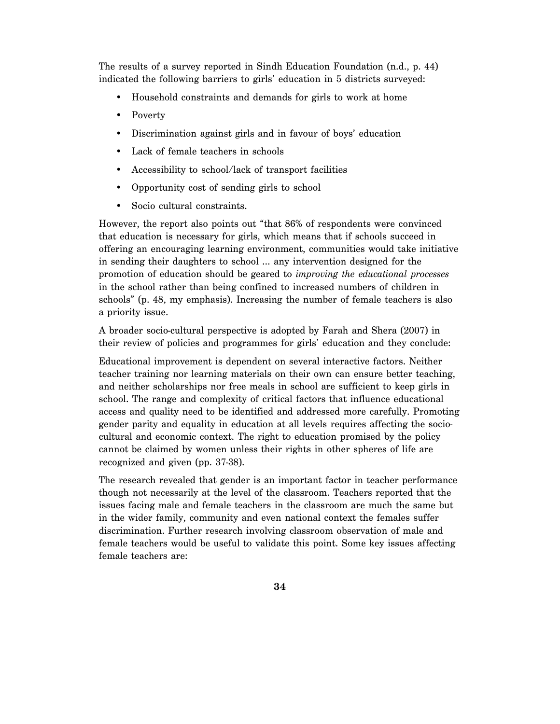The results of a survey reported in Sindh Education Foundation (n.d., p. 44) indicated the following barriers to girls' education in 5 districts surveyed:

- Household constraints and demands for girls to work at home
- Poverty
- Discrimination against girls and in favour of boys' education
- Lack of female teachers in schools
- Accessibility to school/lack of transport facilities
- Opportunity cost of sending girls to school
- Socio cultural constraints.

However, the report also points out "that 86% of respondents were convinced that education is necessary for girls, which means that if schools succeed in offering an encouraging learning environment, communities would take initiative in sending their daughters to school … any intervention designed for the promotion of education should be geared to *improving the educational processes*  in the school rather than being confined to increased numbers of children in schools" (p. 48, my emphasis). Increasing the number of female teachers is also a priority issue.

A broader socio-cultural perspective is adopted by Farah and Shera (2007) in their review of policies and programmes for girls' education and they conclude:

Educational improvement is dependent on several interactive factors. Neither teacher training nor learning materials on their own can ensure better teaching, and neither scholarships nor free meals in school are sufficient to keep girls in school. The range and complexity of critical factors that influence educational access and quality need to be identified and addressed more carefully. Promoting gender parity and equality in education at all levels requires affecting the sociocultural and economic context. The right to education promised by the policy cannot be claimed by women unless their rights in other spheres of life are recognized and given (pp. 37-38).

The research revealed that gender is an important factor in teacher performance though not necessarily at the level of the classroom. Teachers reported that the issues facing male and female teachers in the classroom are much the same but in the wider family, community and even national context the females suffer discrimination. Further research involving classroom observation of male and female teachers would be useful to validate this point. Some key issues affecting female teachers are: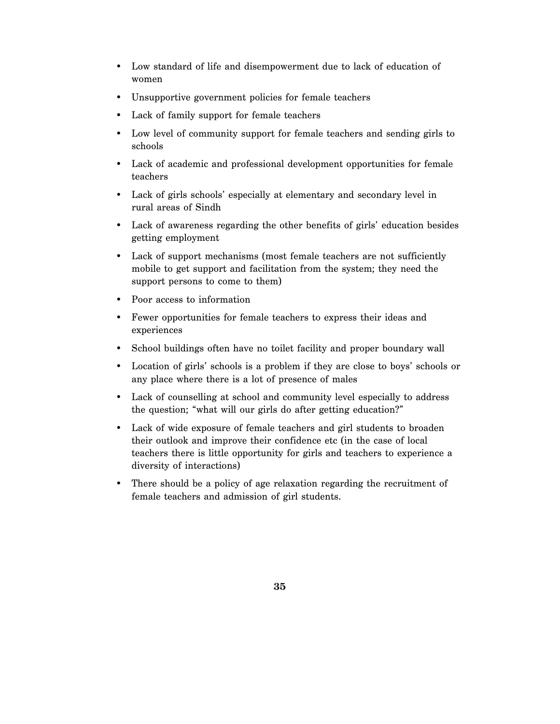- Low standard of life and disempowerment due to lack of education of women
- Unsupportive government policies for female teachers
- Lack of family support for female teachers
- Low level of community support for female teachers and sending girls to schools
- Lack of academic and professional development opportunities for female teachers
- Lack of girls schools' especially at elementary and secondary level in rural areas of Sindh
- Lack of awareness regarding the other benefits of girls' education besides getting employment
- Lack of support mechanisms (most female teachers are not sufficiently mobile to get support and facilitation from the system; they need the support persons to come to them)
- Poor access to information
- Fewer opportunities for female teachers to express their ideas and experiences
- School buildings often have no toilet facility and proper boundary wall
- Location of girls' schools is a problem if they are close to boys' schools or any place where there is a lot of presence of males
- Lack of counselling at school and community level especially to address the question; "what will our girls do after getting education?"
- Lack of wide exposure of female teachers and girl students to broaden their outlook and improve their confidence etc (in the case of local teachers there is little opportunity for girls and teachers to experience a diversity of interactions)
- There should be a policy of age relaxation regarding the recruitment of female teachers and admission of girl students.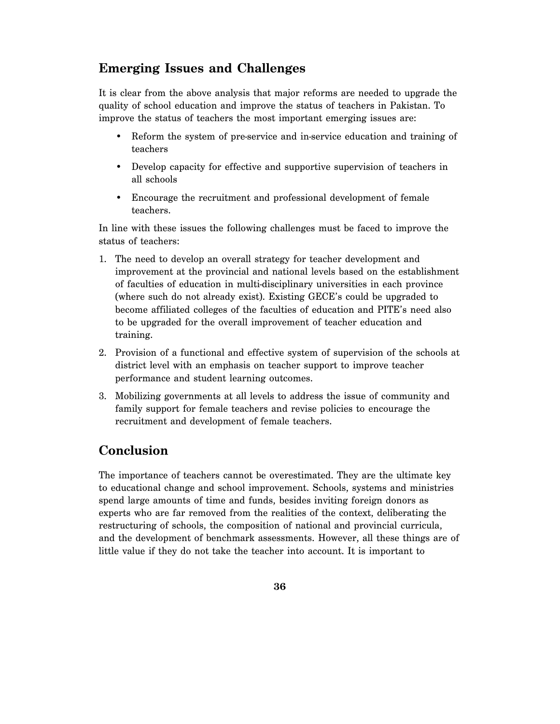# **Emerging Issues and Challenges**

It is clear from the above analysis that major reforms are needed to upgrade the quality of school education and improve the status of teachers in Pakistan. To improve the status of teachers the most important emerging issues are:

- Reform the system of pre-service and in-service education and training of teachers
- Develop capacity for effective and supportive supervision of teachers in all schools
- Encourage the recruitment and professional development of female teachers.

In line with these issues the following challenges must be faced to improve the status of teachers:

- 1. The need to develop an overall strategy for teacher development and improvement at the provincial and national levels based on the establishment of faculties of education in multi-disciplinary universities in each province (where such do not already exist). Existing GECE's could be upgraded to become affiliated colleges of the faculties of education and PITE's need also to be upgraded for the overall improvement of teacher education and training.
- 2. Provision of a functional and effective system of supervision of the schools at district level with an emphasis on teacher support to improve teacher performance and student learning outcomes.
- 3. Mobilizing governments at all levels to address the issue of community and family support for female teachers and revise policies to encourage the recruitment and development of female teachers.

# **Conclusion**

The importance of teachers cannot be overestimated. They are the ultimate key to educational change and school improvement. Schools, systems and ministries spend large amounts of time and funds, besides inviting foreign donors as experts who are far removed from the realities of the context, deliberating the restructuring of schools, the composition of national and provincial curricula, and the development of benchmark assessments. However, all these things are of little value if they do not take the teacher into account. It is important to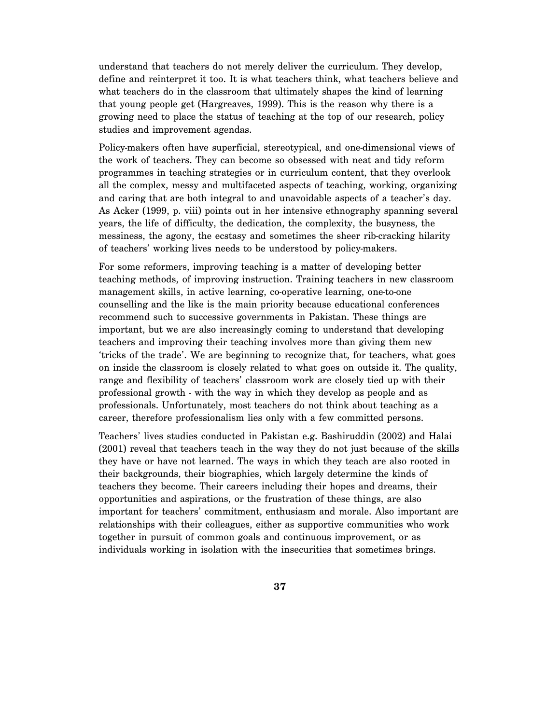understand that teachers do not merely deliver the curriculum. They develop, define and reinterpret it too. It is what teachers think, what teachers believe and what teachers do in the classroom that ultimately shapes the kind of learning that young people get (Hargreaves, 1999). This is the reason why there is a growing need to place the status of teaching at the top of our research, policy studies and improvement agendas.

Policy-makers often have superficial, stereotypical, and one-dimensional views of the work of teachers. They can become so obsessed with neat and tidy reform programmes in teaching strategies or in curriculum content, that they overlook all the complex, messy and multifaceted aspects of teaching, working, organizing and caring that are both integral to and unavoidable aspects of a teacher's day. As Acker (1999, p. viii) points out in her intensive ethnography spanning several years, the life of difficulty, the dedication, the complexity, the busyness, the messiness, the agony, the ecstasy and sometimes the sheer rib-cracking hilarity of teachers' working lives needs to be understood by policy-makers.

For some reformers, improving teaching is a matter of developing better teaching methods, of improving instruction. Training teachers in new classroom management skills, in active learning, co-operative learning, one-to-one counselling and the like is the main priority because educational conferences recommend such to successive governments in Pakistan. These things are important, but we are also increasingly coming to understand that developing teachers and improving their teaching involves more than giving them new 'tricks of the trade'. We are beginning to recognize that, for teachers, what goes on inside the classroom is closely related to what goes on outside it. The quality, range and flexibility of teachers' classroom work are closely tied up with their professional growth - with the way in which they develop as people and as professionals. Unfortunately, most teachers do not think about teaching as a career, therefore professionalism lies only with a few committed persons.

Teachers' lives studies conducted in Pakistan e.g. Bashiruddin (2002) and Halai (2001) reveal that teachers teach in the way they do not just because of the skills they have or have not learned. The ways in which they teach are also rooted in their backgrounds, their biographies, which largely determine the kinds of teachers they become. Their careers including their hopes and dreams, their opportunities and aspirations, or the frustration of these things, are also important for teachers' commitment, enthusiasm and morale. Also important are relationships with their colleagues, either as supportive communities who work together in pursuit of common goals and continuous improvement, or as individuals working in isolation with the insecurities that sometimes brings.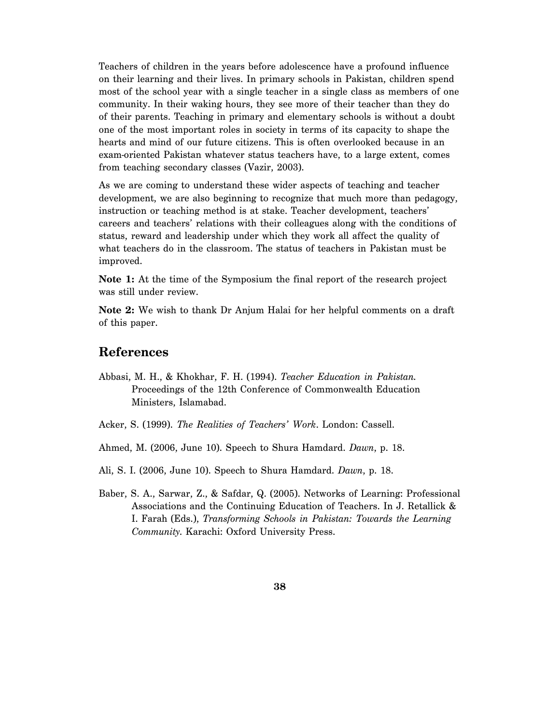Teachers of children in the years before adolescence have a profound influence on their learning and their lives. In primary schools in Pakistan, children spend most of the school year with a single teacher in a single class as members of one community. In their waking hours, they see more of their teacher than they do of their parents. Teaching in primary and elementary schools is without a doubt one of the most important roles in society in terms of its capacity to shape the hearts and mind of our future citizens. This is often overlooked because in an exam-oriented Pakistan whatever status teachers have, to a large extent, comes from teaching secondary classes (Vazir, 2003).

As we are coming to understand these wider aspects of teaching and teacher development, we are also beginning to recognize that much more than pedagogy, instruction or teaching method is at stake. Teacher development, teachers' careers and teachers' relations with their colleagues along with the conditions of status, reward and leadership under which they work all affect the quality of what teachers do in the classroom. The status of teachers in Pakistan must be improved.

**Note 1:** At the time of the Symposium the final report of the research project was still under review.

**Note 2:** We wish to thank Dr Anjum Halai for her helpful comments on a draft of this paper.

### **References**

Abbasi, M. H., & Khokhar, F. H. (1994). *Teacher Education in Pakistan.*  Proceedings of the 12th Conference of Commonwealth Education Ministers, Islamabad.

Acker, S. (1999). *The Realities of Teachers' Work*. London: Cassell.

Ahmed, M. (2006, June 10). Speech to Shura Hamdard. *Dawn*, p. 18.

Ali, S. I. (2006, June 10). Speech to Shura Hamdard. *Dawn*, p. 18.

Baber, S. A., Sarwar, Z., & Safdar, Q. (2005). Networks of Learning: Professional Associations and the Continuing Education of Teachers. In J. Retallick & I. Farah (Eds.), *Transforming Schools in Pakistan: Towards the Learning Community*. Karachi: Oxford University Press.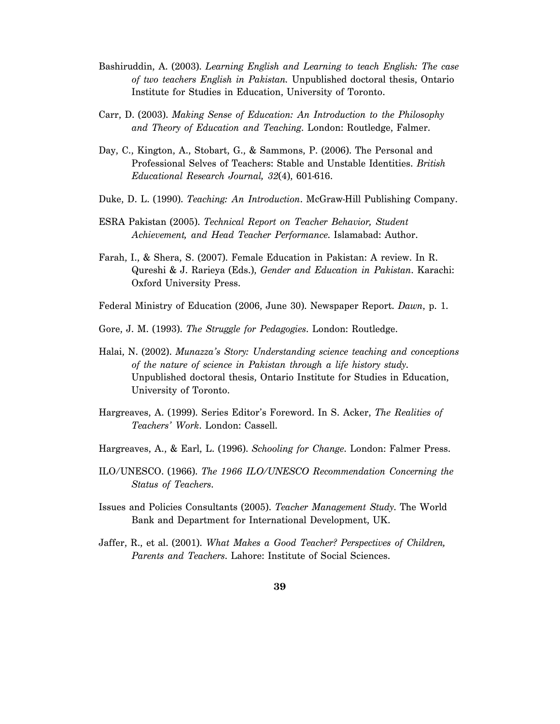- Bashiruddin, A. (2003). *Learning English and Learning to teach English: The case of two teachers English in Pakistan.* Unpublished doctoral thesis, Ontario Institute for Studies in Education, University of Toronto.
- Carr, D. (2003). *Making Sense of Education: An Introduction to the Philosophy and Theory of Education and Teaching*. London: Routledge, Falmer.
- Day, C., Kington, A., Stobart, G., & Sammons, P. (2006). The Personal and Professional Selves of Teachers: Stable and Unstable Identities. *British Educational Research Journal, 32*(4), 601-616.
- Duke, D. L. (1990). *Teaching: An Introduction*. McGraw-Hill Publishing Company.
- ESRA Pakistan (2005). *Technical Report on Teacher Behavior, Student Achievement, and Head Teacher Performance*. Islamabad: Author.
- Farah, I., & Shera, S. (2007). Female Education in Pakistan: A review. In R. Qureshi & J. Rarieya (Eds.), *Gender and Education in Pakistan*. Karachi: Oxford University Press.
- Federal Ministry of Education (2006, June 30). Newspaper Report. *Dawn*, p. 1.
- Gore, J. M. (1993). *The Struggle for Pedagogies*. London: Routledge.
- Halai, N. (2002). *Munazza's Story: Understanding science teaching and conceptions of the nature of science in Pakistan through a life history study*. Unpublished doctoral thesis, Ontario Institute for Studies in Education, University of Toronto.
- Hargreaves, A. (1999). Series Editor's Foreword. In S. Acker, *The Realities of Teachers' Work*. London: Cassell.
- Hargreaves, A., & Earl, L. (1996). *Schooling for Change*. London: Falmer Press.
- ILO/UNESCO. (1966). *The 1966 ILO/UNESCO Recommendation Concerning the Status of Teachers*.
- Issues and Policies Consultants (2005). *Teacher Management Study*. The World Bank and Department for International Development, UK.
- Jaffer, R., et al. (2001). *What Makes a Good Teacher? Perspectives of Children, Parents and Teachers*. Lahore: Institute of Social Sciences.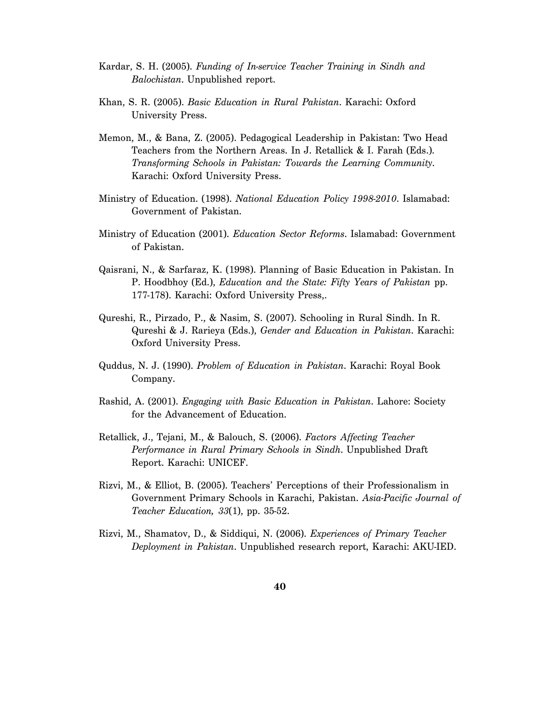- Kardar, S. H. (2005). *Funding of In-service Teacher Training in Sindh and Balochistan*. Unpublished report.
- Khan, S. R. (2005). *Basic Education in Rural Pakistan*. Karachi: Oxford University Press.
- Memon, M., & Bana, Z. (2005). Pedagogical Leadership in Pakistan: Two Head Teachers from the Northern Areas. In J. Retallick & I. Farah (Eds.). *Transforming Schools in Pakistan: Towards the Learning Community*. Karachi: Oxford University Press.
- Ministry of Education. (1998). *National Education Policy 1998-2010*. Islamabad: Government of Pakistan.
- Ministry of Education (2001). *Education Sector Reforms*. Islamabad: Government of Pakistan.
- Qaisrani, N., & Sarfaraz, K. (1998). Planning of Basic Education in Pakistan. In P. Hoodbhoy (Ed.), *Education and the State: Fifty Years of Pakistan* pp. 177-178). Karachi: Oxford University Press,.
- Qureshi, R., Pirzado, P., & Nasim, S. (2007). Schooling in Rural Sindh. In R. Qureshi & J. Rarieya (Eds.), *Gender and Education in Pakistan*. Karachi: Oxford University Press.
- Quddus, N. J. (1990). *Problem of Education in Pakistan*. Karachi: Royal Book Company.
- Rashid, A. (2001). *Engaging with Basic Education in Pakistan*. Lahore: Society for the Advancement of Education.
- Retallick, J., Tejani, M., & Balouch, S. (2006). *Factors Affecting Teacher Performance in Rural Primary Schools in Sindh*. Unpublished Draft Report. Karachi: UNICEF.
- Rizvi, M., & Elliot, B. (2005). Teachers' Perceptions of their Professionalism in Government Primary Schools in Karachi, Pakistan. *Asia-Pacific Journal of Teacher Education, 33*(1), pp. 35-52.
- Rizvi, M., Shamatov, D., & Siddiqui, N. (2006). *Experiences of Primary Teacher Deployment in Pakistan*. Unpublished research report, Karachi: AKU-IED.